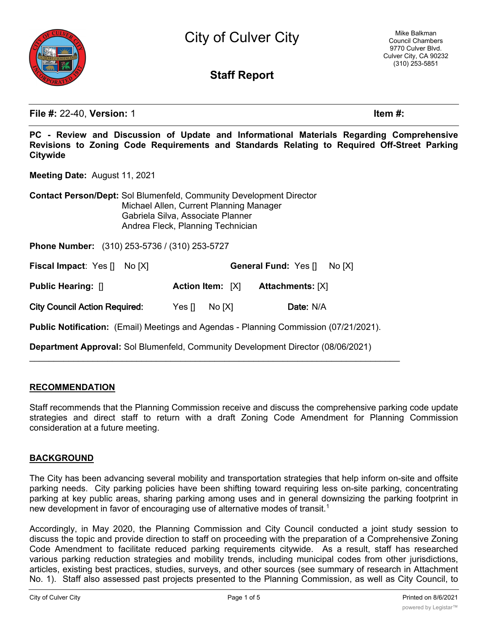

City of Culver City

# **Staff Report**

**File #:** 22-40, **Version:** 1 **Item #:**

**PC - Review and Discussion of Update and Informational Materials Regarding Comprehensive Revisions to Zoning Code Requirements and Standards Relating to Required Off-Street Parking Citywide**

**Meeting Date:** August 11, 2021

**Contact Person/Dept:** Sol Blumenfeld, Community Development Director Michael Allen, Current Planning Manager Gabriela Silva, Associate Planner Andrea Fleck, Planning Technician

**Phone Number:** (310) 253-5736 / (310) 253-5727

**Fiscal Impact**: Yes [] No [X] **General Fund:** Yes [] No [X]

| Public Hearing: [] | Action Item: $[X]$ | <b>Attachments: [X]</b> |  |
|--------------------|--------------------|-------------------------|--|
|                    |                    |                         |  |

**City Council Action Required:** Yes [] No [X] **Date:** N/A

**Public Notification:** (Email) Meetings and Agendas - Planning Commission (07/21/2021).

 $\mathcal{L}_\text{max}$  and  $\mathcal{L}_\text{max}$  and  $\mathcal{L}_\text{max}$  and  $\mathcal{L}_\text{max}$  and  $\mathcal{L}_\text{max}$  and  $\mathcal{L}_\text{max}$ 

**Department Approval:** Sol Blumenfeld, Community Development Director (08/06/2021)

### **RECOMMENDATION**

Staff recommends that the Planning Commission receive and discuss the comprehensive parking code update strategies and direct staff to return with a draft Zoning Code Amendment for Planning Commission consideration at a future meeting.

#### **BACKGROUND**

The City has been advancing several mobility and transportation strategies that help inform on-site and offsite parking needs. City parking policies have been shifting toward requiring less on-site parking, concentrating parking at key public areas, sharing parking among uses and in general downsizing the parking footprint in new development in favor of encouraging use of alternative modes of transit.<sup>1</sup>

Accordingly, in May 2020, the Planning Commission and City Council conducted a joint study session to discuss the topic and provide direction to staff on proceeding with the preparation of a Comprehensive Zoning Code Amendment to facilitate reduced parking requirements citywide. As a result, staff has researched various parking reduction strategies and mobility trends, including municipal codes from other jurisdictions, articles, existing best practices, studies, surveys, and other sources (see summary of research in Attachment No. 1). Staff also assessed past projects presented to the Planning Commission, as well as City Council, to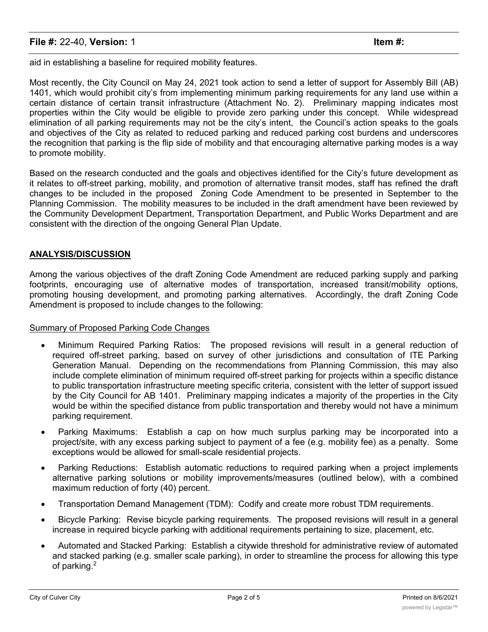aid in establishing a baseline for required mobility features.

Most recently, the City Council on May 24, 2021 took action to send a letter of support for Assembly Bill (AB) 1401, which would prohibit city's from implementing minimum parking requirements for any land use within a certain distance of certain transit infrastructure (Attachment No. 2). Preliminary mapping indicates most properties within the City would be eligible to provide zero parking under this concept. While widespread elimination of all parking requirements may not be the city's intent, the Council's action speaks to the goals and objectives of the City as related to reduced parking and reduced parking cost burdens and underscores the recognition that parking is the flip side of mobility and that encouraging alternative parking modes is a way to promote mobility.

Based on the research conducted and the goals and objectives identified for the City's future development as it relates to off-street parking, mobility, and promotion of alternative transit modes, staff has refined the draft changes to be included in the proposed Zoning Code Amendment to be presented in September to the Planning Commission. The mobility measures to be included in the draft amendment have been reviewed by the Community Development Department, Transportation Department, and Public Works Department and are consistent with the direction of the ongoing General Plan Update.

### **ANALYSIS/DISCUSSION**

Among the various objectives of the draft Zoning Code Amendment are reduced parking supply and parking footprints, encouraging use of alternative modes of transportation, increased transit/mobility options, promoting housing development, and promoting parking alternatives. Accordingly, the draft Zoning Code Amendment is proposed to include changes to the following:

### Summary of Proposed Parking Code Changes

- · Minimum Required Parking Ratios: The proposed revisions will result in a general reduction of required off-street parking, based on survey of other jurisdictions and consultation of ITE Parking Generation Manual. Depending on the recommendations from Planning Commission, this may also include complete elimination of minimum required off-street parking for projects within a specific distance to public transportation infrastructure meeting specific criteria, consistent with the letter of support issued by the City Council for AB 1401. Preliminary mapping indicates a majority of the properties in the City would be within the specified distance from public transportation and thereby would not have a minimum parking requirement.
- · Parking Maximums: Establish a cap on how much surplus parking may be incorporated into a project/site, with any excess parking subject to payment of a fee (e.g. mobility fee) as a penalty. Some exceptions would be allowed for small-scale residential projects.
- · Parking Reductions: Establish automatic reductions to required parking when a project implements alternative parking solutions or mobility improvements/measures (outlined below), with a combined maximum reduction of forty (40) percent.
- · Transportation Demand Management (TDM): Codify and create more robust TDM requirements.
- Bicycle Parking: Revise bicycle parking requirements. The proposed revisions will result in a general increase in required bicycle parking with additional requirements pertaining to size, placement, etc.
- · Automated and Stacked Parking: Establish a citywide threshold for administrative review of automated and stacked parking (e.g. smaller scale parking), in order to streamline the process for allowing this type of parking.2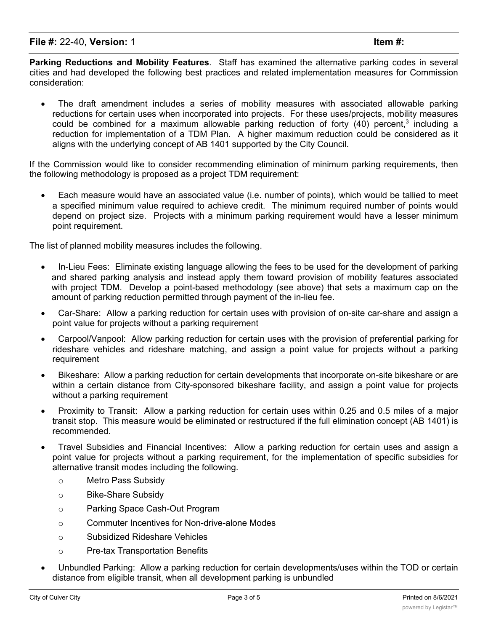**Parking Reductions and Mobility Features**. Staff has examined the alternative parking codes in several cities and had developed the following best practices and related implementation measures for Commission consideration:

The draft amendment includes a series of mobility measures with associated allowable parking reductions for certain uses when incorporated into projects. For these uses/projects, mobility measures could be combined for a maximum allowable parking reduction of forty  $(40)$  percent,<sup>3</sup> including a reduction for implementation of a TDM Plan. A higher maximum reduction could be considered as it aligns with the underlying concept of AB 1401 supported by the City Council.

If the Commission would like to consider recommending elimination of minimum parking requirements, then the following methodology is proposed as a project TDM requirement:

· Each measure would have an associated value (i.e. number of points), which would be tallied to meet a specified minimum value required to achieve credit. The minimum required number of points would depend on project size. Projects with a minimum parking requirement would have a lesser minimum point requirement.

The list of planned mobility measures includes the following.

- · In-Lieu Fees: Eliminate existing language allowing the fees to be used for the development of parking and shared parking analysis and instead apply them toward provision of mobility features associated with project TDM. Develop a point-based methodology (see above) that sets a maximum cap on the amount of parking reduction permitted through payment of the in-lieu fee.
- · Car-Share: Allow a parking reduction for certain uses with provision of on-site car-share and assign a point value for projects without a parking requirement
- · Carpool/Vanpool: Allow parking reduction for certain uses with the provision of preferential parking for rideshare vehicles and rideshare matching, and assign a point value for projects without a parking requirement
- · Bikeshare: Allow a parking reduction for certain developments that incorporate on-site bikeshare or are within a certain distance from City-sponsored bikeshare facility, and assign a point value for projects without a parking requirement
- · Proximity to Transit: Allow a parking reduction for certain uses within 0.25 and 0.5 miles of a major transit stop. This measure would be eliminated or restructured if the full elimination concept (AB 1401) is recommended.
- Travel Subsidies and Financial Incentives: Allow a parking reduction for certain uses and assign a point value for projects without a parking requirement, for the implementation of specific subsidies for alternative transit modes including the following.
	- o Metro Pass Subsidy
	- o Bike-Share Subsidy
	- o Parking Space Cash-Out Program
	- o Commuter Incentives for Non-drive-alone Modes
	- o Subsidized Rideshare Vehicles
	- o Pre-tax Transportation Benefits
- · Unbundled Parking: Allow a parking reduction for certain developments/uses within the TOD or certain distance from eligible transit, when all development parking is unbundled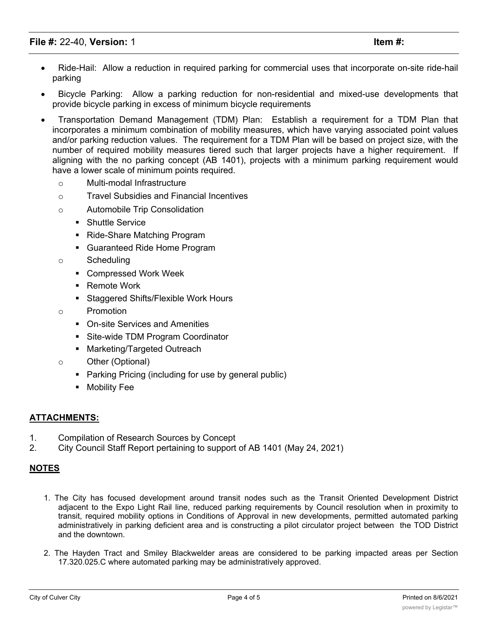- Ride-Hail: Allow a reduction in required parking for commercial uses that incorporate on-site ride-hail parking
- · Bicycle Parking: Allow a parking reduction for non-residential and mixed-use developments that provide bicycle parking in excess of minimum bicycle requirements
- · Transportation Demand Management (TDM) Plan: Establish a requirement for a TDM Plan that incorporates a minimum combination of mobility measures, which have varying associated point values and/or parking reduction values. The requirement for a TDM Plan will be based on project size, with the number of required mobility measures tiered such that larger projects have a higher requirement. If aligning with the no parking concept (AB 1401), projects with a minimum parking requirement would have a lower scale of minimum points required.
	- o Multi-modal Infrastructure
	- o Travel Subsidies and Financial Incentives
	- o Automobile Trip Consolidation
		- Shuttle Service
		- Ride-Share Matching Program
		- Guaranteed Ride Home Program
	- o Scheduling
		- Compressed Work Week
		- Remote Work
		- Staggered Shifts/Flexible Work Hours
	- o Promotion
		- On-site Services and Amenities
		- Site-wide TDM Program Coordinator
		- Marketing/Targeted Outreach
	- o Other (Optional)
		- Parking Pricing (including for use by general public)
		- Mobility Fee

### **ATTACHMENTS:**

- 1. Compilation of Research Sources by Concept
- 2. City Council Staff Report pertaining to support of AB 1401 (May 24, 2021)

## **NOTES**

- 1. The City has focused development around transit nodes such as the Transit Oriented Development District adjacent to the Expo Light Rail line, reduced parking requirements by Council resolution when in proximity to transit, required mobility options in Conditions of Approval in new developments, permitted automated parking administratively in parking deficient area and is constructing a pilot circulator project between the TOD District and the downtown.
- 2. The Hayden Tract and Smiley Blackwelder areas are considered to be parking impacted areas per Section 17.320.025.C where automated parking may be administratively approved.

 $\overline{1000}$  is the maximum parameter by staff based upon the data found regarding this topic as listed in this topic as listed in  $\overline{1000}$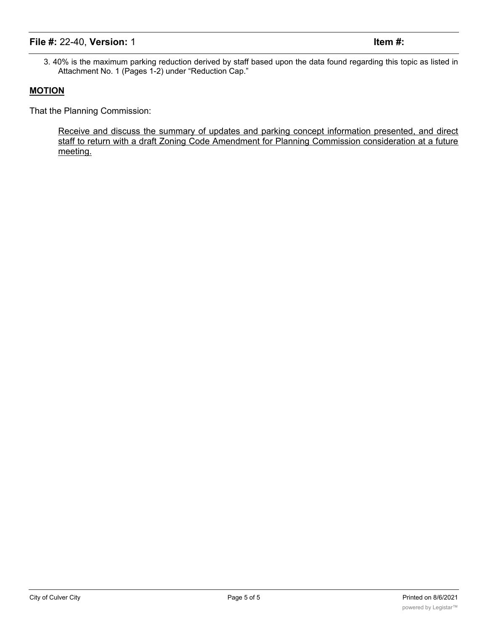3. 40% is the maximum parking reduction derived by staff based upon the data found regarding this topic as listed in Attachment No. 1 (Pages 1-2) under "Reduction Cap."

#### **MOTION**

That the Planning Commission:

Receive and discuss the summary of updates and parking concept information presented, and direct staff to return with a draft Zoning Code Amendment for Planning Commission consideration at a future meeting.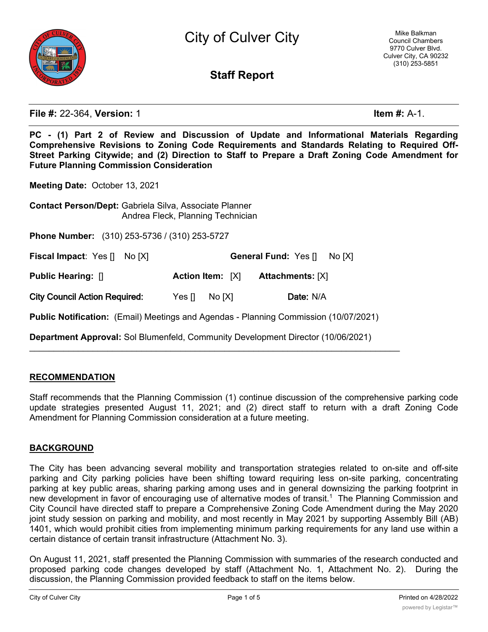

City of Culver City

# **Staff Report**

**File #:** 22-364, **Version:** 1 **Item #:** A-1.

**PC - (1) Part 2 of Review and Discussion of Update and Informational Materials Regarding Comprehensive Revisions to Zoning Code Requirements and Standards Relating to Required Off-Street Parking Citywide; and (2) Direction to Staff to Prepare a Draft Zoning Code Amendment for Future Planning Commission Consideration**

**Meeting Date:** October 13, 2021

**Contact Person/Dept:** Gabriela Silva, Associate Planner Andrea Fleck, Planning Technician

**Phone Number:** (310) 253-5736 / (310) 253-5727

**Fiscal Impact**: Yes [] No [X] **General Fund:** Yes [] No [X] **Public Hearing:** [] **Action Item:** [X] **Attachments:** [X] **City Council Action Required:** Yes [] No [X] **Date:** N/A

**Public Notification:** (Email) Meetings and Agendas - Planning Commission (10/07/2021)

**Department Approval:** Sol Blumenfeld, Community Development Director (10/06/2021)

 $\mathcal{L}_\text{max}$  and  $\mathcal{L}_\text{max}$  and  $\mathcal{L}_\text{max}$  and  $\mathcal{L}_\text{max}$  and  $\mathcal{L}_\text{max}$  and  $\mathcal{L}_\text{max}$ 

#### **RECOMMENDATION**

Staff recommends that the Planning Commission (1) continue discussion of the comprehensive parking code update strategies presented August 11, 2021; and (2) direct staff to return with a draft Zoning Code Amendment for Planning Commission consideration at a future meeting.

#### **BACKGROUND**

The City has been advancing several mobility and transportation strategies related to on-site and off-site parking and City parking policies have been shifting toward requiring less on-site parking, concentrating parking at key public areas, sharing parking among uses and in general downsizing the parking footprint in new development in favor of encouraging use of alternative modes of transit.<sup>1</sup> The Planning Commission and City Council have directed staff to prepare a Comprehensive Zoning Code Amendment during the May 2020 joint study session on parking and mobility, and most recently in May 2021 by supporting Assembly Bill (AB) 1401, which would prohibit cities from implementing minimum parking requirements for any land use within a certain distance of certain transit infrastructure (Attachment No. 3).

On August 11, 2021, staff presented the Planning Commission with summaries of the research conducted and proposed parking code changes developed by staff (Attachment No. 1, Attachment No. 2). During the discussion, the Planning Commission provided feedback to staff on the items below.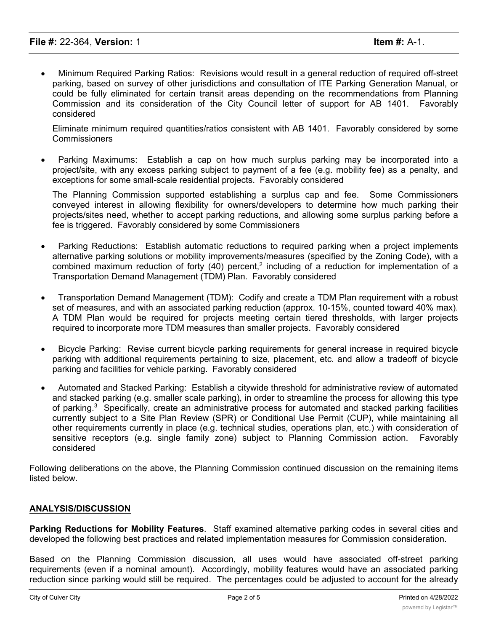· Minimum Required Parking Ratios: Revisions would result in a general reduction of required off-street parking, based on survey of other jurisdictions and consultation of ITE Parking Generation Manual, or could be fully eliminated for certain transit areas depending on the recommendations from Planning Commission and its consideration of the City Council letter of support for AB 1401. Favorably considered

Eliminate minimum required quantities/ratios consistent with AB 1401. Favorably considered by some **Commissioners** 

· Parking Maximums: Establish a cap on how much surplus parking may be incorporated into a project/site, with any excess parking subject to payment of a fee (e.g. mobility fee) as a penalty, and exceptions for some small-scale residential projects. Favorably considered

The Planning Commission supported establishing a surplus cap and fee. Some Commissioners conveyed interest in allowing flexibility for owners/developers to determine how much parking their projects/sites need, whether to accept parking reductions, and allowing some surplus parking before a fee is triggered. Favorably considered by some Commissioners

- Parking Reductions: Establish automatic reductions to required parking when a project implements alternative parking solutions or mobility improvements/measures (specified by the Zoning Code), with a combined maximum reduction of forty (40) percent,<sup>2</sup> including of a reduction for implementation of a Transportation Demand Management (TDM) Plan. Favorably considered
- · Transportation Demand Management (TDM): Codify and create a TDM Plan requirement with a robust set of measures, and with an associated parking reduction (approx. 10-15%, counted toward 40% max). A TDM Plan would be required for projects meeting certain tiered thresholds, with larger projects required to incorporate more TDM measures than smaller projects. Favorably considered
- · Bicycle Parking: Revise current bicycle parking requirements for general increase in required bicycle parking with additional requirements pertaining to size, placement, etc. and allow a tradeoff of bicycle parking and facilities for vehicle parking. Favorably considered
- · Automated and Stacked Parking: Establish a citywide threshold for administrative review of automated and stacked parking (e.g. smaller scale parking), in order to streamline the process for allowing this type of parking. $3$  Specifically, create an administrative process for automated and stacked parking facilities currently subject to a Site Plan Review (SPR) or Conditional Use Permit (CUP), while maintaining all other requirements currently in place (e.g. technical studies, operations plan, etc.) with consideration of sensitive receptors (e.g. single family zone) subject to Planning Commission action. Favorably considered

Following deliberations on the above, the Planning Commission continued discussion on the remaining items listed below.

### **ANALYSIS/DISCUSSION**

**Parking Reductions for Mobility Features**. Staff examined alternative parking codes in several cities and developed the following best practices and related implementation measures for Commission consideration.

Based on the Planning Commission discussion, all uses would have associated off-street parking requirements (even if a nominal amount). Accordingly, mobility features would have an associated parking reduction since parking would still be required. The percentages could be adjusted to account for the already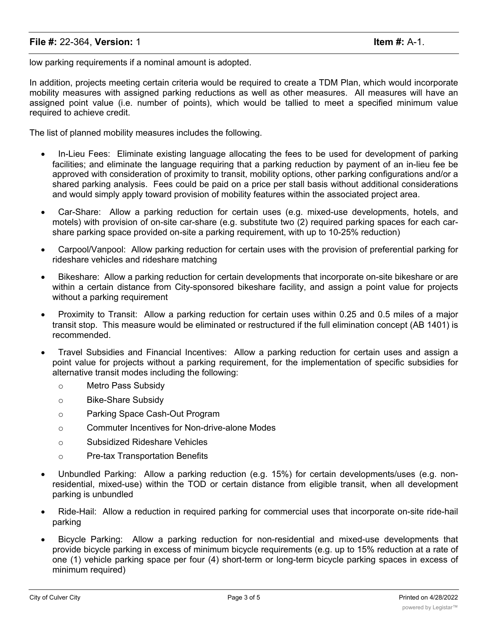low parking requirements if a nominal amount is adopted.

In addition, projects meeting certain criteria would be required to create a TDM Plan, which would incorporate mobility measures with assigned parking reductions as well as other measures. All measures will have an assigned point value (i.e. number of points), which would be tallied to meet a specified minimum value required to achieve credit.

The list of planned mobility measures includes the following.

- In-Lieu Fees: Eliminate existing language allocating the fees to be used for development of parking facilities; and eliminate the language requiring that a parking reduction by payment of an in-lieu fee be approved with consideration of proximity to transit, mobility options, other parking configurations and/or a shared parking analysis. Fees could be paid on a price per stall basis without additional considerations and would simply apply toward provision of mobility features within the associated project area.
- · Car-Share: Allow a parking reduction for certain uses (e.g. mixed-use developments, hotels, and motels) with provision of on-site car-share (e.g. substitute two (2) required parking spaces for each carshare parking space provided on-site a parking requirement, with up to 10-25% reduction)
- · Carpool/Vanpool: Allow parking reduction for certain uses with the provision of preferential parking for rideshare vehicles and rideshare matching
- Bikeshare: Allow a parking reduction for certain developments that incorporate on-site bikeshare or are within a certain distance from City-sponsored bikeshare facility, and assign a point value for projects without a parking requirement
- · Proximity to Transit: Allow a parking reduction for certain uses within 0.25 and 0.5 miles of a major transit stop. This measure would be eliminated or restructured if the full elimination concept (AB 1401) is recommended.
- · Travel Subsidies and Financial Incentives: Allow a parking reduction for certain uses and assign a point value for projects without a parking requirement, for the implementation of specific subsidies for alternative transit modes including the following:
	- o Metro Pass Subsidy
	- o Bike-Share Subsidy
	- o Parking Space Cash-Out Program
	- o Commuter Incentives for Non-drive-alone Modes
	- o Subsidized Rideshare Vehicles
	- o Pre-tax Transportation Benefits
- Unbundled Parking: Allow a parking reduction (e.g. 15%) for certain developments/uses (e.g. nonresidential, mixed-use) within the TOD or certain distance from eligible transit, when all development parking is unbundled
- Ride-Hail: Allow a reduction in required parking for commercial uses that incorporate on-site ride-hail parking
- · Bicycle Parking: Allow a parking reduction for non-residential and mixed-use developments that provide bicycle parking in excess of minimum bicycle requirements (e.g. up to 15% reduction at a rate of one (1) vehicle parking space per four (4) short-term or long-term bicycle parking spaces in excess of minimum required)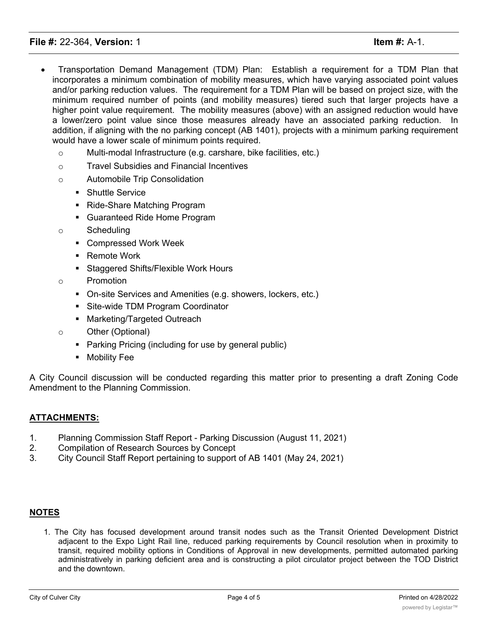- · Transportation Demand Management (TDM) Plan: Establish a requirement for a TDM Plan that incorporates a minimum combination of mobility measures, which have varying associated point values and/or parking reduction values. The requirement for a TDM Plan will be based on project size, with the minimum required number of points (and mobility measures) tiered such that larger projects have a higher point value requirement. The mobility measures (above) with an assigned reduction would have a lower/zero point value since those measures already have an associated parking reduction. In addition, if aligning with the no parking concept (AB 1401), projects with a minimum parking requirement would have a lower scale of minimum points required.
	- o Multi-modal Infrastructure (e.g. carshare, bike facilities, etc.)
	- o Travel Subsidies and Financial Incentives
	- o Automobile Trip Consolidation
		- Shuttle Service
		- Ride-Share Matching Program
		- Guaranteed Ride Home Program
	- o Scheduling
		- Compressed Work Week
		- Remote Work
		- § Staggered Shifts/Flexible Work Hours
	- o Promotion
		- On-site Services and Amenities (e.g. showers, lockers, etc.)
		- Site-wide TDM Program Coordinator
		- Marketing/Targeted Outreach
	- o Other (Optional)
		- Parking Pricing (including for use by general public)
		- **•** Mobility Fee

A City Council discussion will be conducted regarding this matter prior to presenting a draft Zoning Code Amendment to the Planning Commission.

### **ATTACHMENTS:**

- 1. Planning Commission Staff Report Parking Discussion (August 11, 2021)
- 2. Compilation of Research Sources by Concept
- 3. City Council Staff Report pertaining to support of AB 1401 (May 24, 2021)

### **NOTES**

1. The City has focused development around transit nodes such as the Transit Oriented Development District adjacent to the Expo Light Rail line, reduced parking requirements by Council resolution when in proximity to transit, required mobility options in Conditions of Approval in new developments, permitted automated parking administratively in parking deficient area and is constructing a pilot circulator project between the TOD District and the downtown.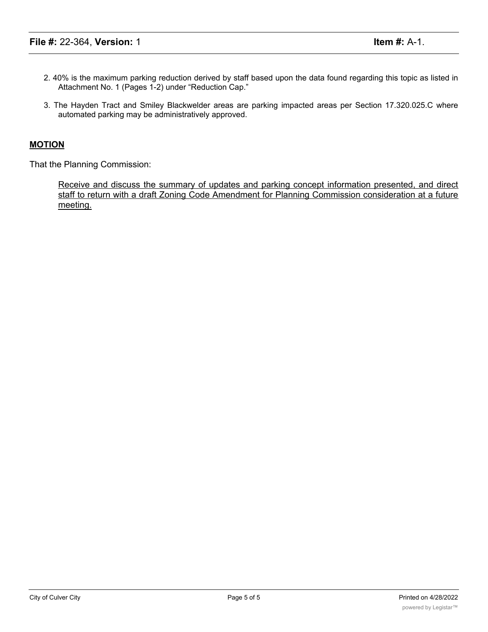- 2. 40% is the maximum parking reduction derived by staff based upon the data found regarding this topic as listed in Attachment No. 1 (Pages 1-2) under "Reduction Cap."
- 3. The Hayden Tract and Smiley Blackwelder areas are parking impacted areas per Section 17.320.025.C where automated parking may be administratively approved.

#### **MOTION**

That the Planning Commission:

Receive and discuss the summary of updates and parking concept information presented, and direct staff to return with a draft Zoning Code Amendment for Planning Commission consideration at a future meeting.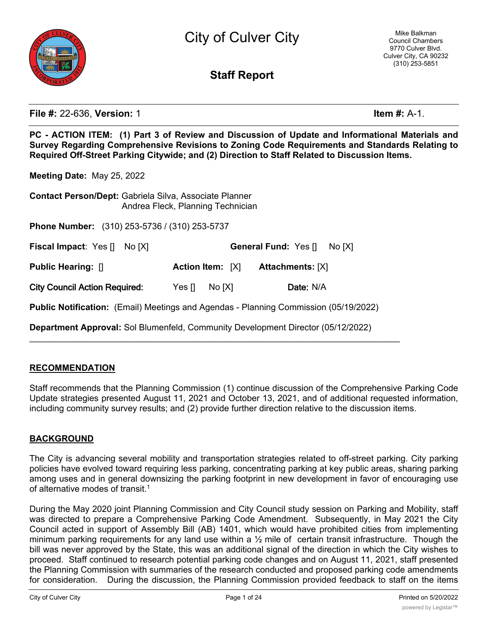

City of Culver City

# **Staff Report**

**File #:** 22-636, **Version:** 1 **Item #:** A-1.

**PC - ACTION ITEM: (1) Part 3 of Review and Discussion of Update and Informational Materials and Survey Regarding Comprehensive Revisions to Zoning Code Requirements and Standards Relating to Required Off-Street Parking Citywide; and (2) Direction to Staff Related to Discussion Items.**

**Meeting Date:** May 25, 2022

| <b>Contact Person/Dept: Gabriela Silva, Associate Planner</b><br>Andrea Fleck, Planning Technician |                         |                                      |  |  |  |  |
|----------------------------------------------------------------------------------------------------|-------------------------|--------------------------------------|--|--|--|--|
| <b>Phone Number:</b> (310) 253-5736 / (310) 253-5737                                               |                         |                                      |  |  |  |  |
| <b>Fiscal Impact: Yes []</b><br>No IXI                                                             |                         | <b>General Fund: Yes []</b><br>No[X] |  |  |  |  |
| <b>Public Hearing: []</b>                                                                          | <b>Action Item:</b> [X] | <b>Attachments: [X]</b>              |  |  |  |  |
| <b>City Council Action Required:</b>                                                               | Yes $\Pi$<br>No[X]      | Date: N/A                            |  |  |  |  |
| <b>Public Notification:</b> (Email) Meetings and Agendas - Planning Commission (05/19/2022)        |                         |                                      |  |  |  |  |
| <b>Department Approval:</b> Sol Blumenfeld, Community Development Director (05/12/2022)            |                         |                                      |  |  |  |  |

### **RECOMMENDATION**

Staff recommends that the Planning Commission (1) continue discussion of the Comprehensive Parking Code Update strategies presented August 11, 2021 and October 13, 2021, and of additional requested information, including community survey results; and (2) provide further direction relative to the discussion items.

## **BACKGROUND**

The City is advancing several mobility and transportation strategies related to off-street parking. City parking policies have evolved toward requiring less parking, concentrating parking at key public areas, sharing parking among uses and in general downsizing the parking footprint in new development in favor of encouraging use of alternative modes of transit.<sup>1</sup>

During the May 2020 joint Planning Commission and City Council study session on Parking and Mobility, staff was directed to prepare a Comprehensive Parking Code Amendment. Subsequently, in May 2021 the City Council acted in support of Assembly Bill (AB) 1401, which would have prohibited cities from implementing minimum parking requirements for any land use within a ½ mile of certain transit infrastructure. Though the bill was never approved by the State, this was an additional signal of the direction in which the City wishes to proceed. Staff continued to research potential parking code changes and on August 11, 2021, staff presented the Planning Commission with summaries of the research conducted and proposed parking code amendments for consideration. During the discussion, the Planning Commission provided feedback to staff on the items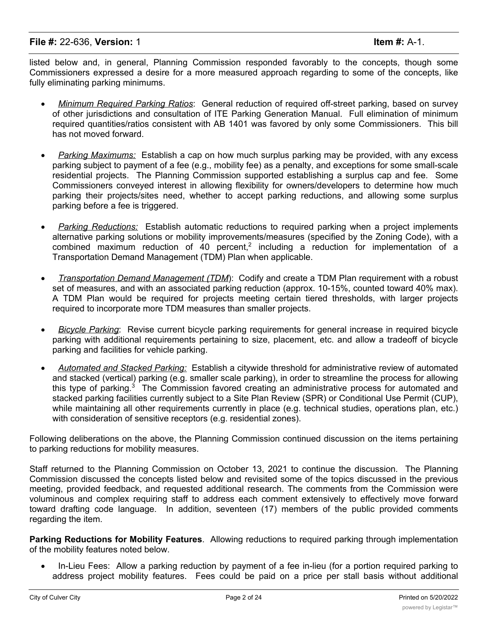listed below and, in general, Planning Commission responded favorably to the concepts, though some Commissioners expressed a desire for a more measured approach regarding to some of the concepts, like fully eliminating parking minimums.

- · *Minimum Required Parking Ratios*: General reduction of required off-street parking, based on survey of other jurisdictions and consultation of ITE Parking Generation Manual. Full elimination of minimum required quantities/ratios consistent with AB 1401 was favored by only some Commissioners. This bill has not moved forward.
- · *Parking Maximums:* Establish a cap on how much surplus parking may be provided, with any excess parking subject to payment of a fee (e.g., mobility fee) as a penalty, and exceptions for some small-scale residential projects. The Planning Commission supported establishing a surplus cap and fee. Some Commissioners conveyed interest in allowing flexibility for owners/developers to determine how much parking their projects/sites need, whether to accept parking reductions, and allowing some surplus parking before a fee is triggered.
- · *Parking Reductions:* Establish automatic reductions to required parking when a project implements alternative parking solutions or mobility improvements/measures (specified by the Zoning Code), with a combined maximum reduction of 40 percent,<sup>2</sup> including a reduction for implementation of a Transportation Demand Management (TDM) Plan when applicable.
- · *Transportation Demand Management (TDM*): Codify and create a TDM Plan requirement with a robust set of measures, and with an associated parking reduction (approx. 10-15%, counted toward 40% max). A TDM Plan would be required for projects meeting certain tiered thresholds, with larger projects required to incorporate more TDM measures than smaller projects.
- · *Bicycle Parking*: Revise current bicycle parking requirements for general increase in required bicycle parking with additional requirements pertaining to size, placement, etc. and allow a tradeoff of bicycle parking and facilities for vehicle parking.
- · *Automated and Stacked Parking:* Establish a citywide threshold for administrative review of automated and stacked (vertical) parking (e.g. smaller scale parking), in order to streamline the process for allowing this type of parking.<sup>3</sup> The Commission favored creating an administrative process for automated and stacked parking facilities currently subject to a Site Plan Review (SPR) or Conditional Use Permit (CUP), while maintaining all other requirements currently in place (e.g. technical studies, operations plan, etc.) with consideration of sensitive receptors (e.g. residential zones).

Following deliberations on the above, the Planning Commission continued discussion on the items pertaining to parking reductions for mobility measures.

Staff returned to the Planning Commission on October 13, 2021 to continue the discussion. The Planning Commission discussed the concepts listed below and revisited some of the topics discussed in the previous meeting, provided feedback, and requested additional research. The comments from the Commission were voluminous and complex requiring staff to address each comment extensively to effectively move forward toward drafting code language. In addition, seventeen (17) members of the public provided comments regarding the item.

**Parking Reductions for Mobility Features**. Allowing reductions to required parking through implementation of the mobility features noted below.

In-Lieu Fees: Allow a parking reduction by payment of a fee in-lieu (for a portion required parking to address project mobility features. Fees could be paid on a price per stall basis without additional

considerations and would simply apply toward provision of mobility features within the associated project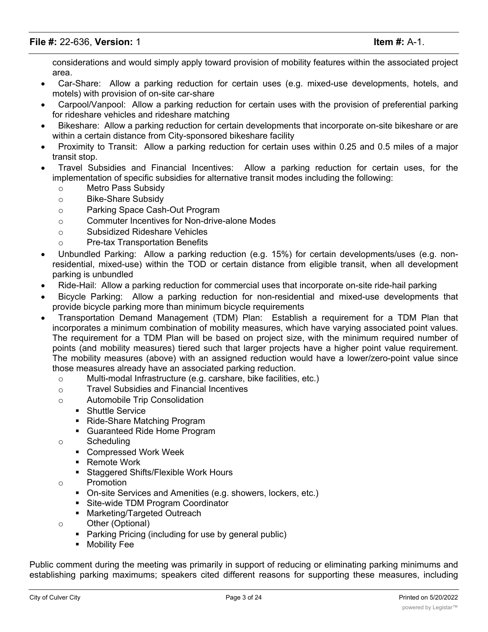considerations and would simply apply toward provision of mobility features within the associated project area.

- Car-Share: Allow a parking reduction for certain uses (e.g. mixed-use developments, hotels, and motels) with provision of on-site car-share
- Carpool/Vanpool: Allow a parking reduction for certain uses with the provision of preferential parking for rideshare vehicles and rideshare matching
- · Bikeshare: Allow a parking reduction for certain developments that incorporate on-site bikeshare or are within a certain distance from City-sponsored bikeshare facility
- Proximity to Transit: Allow a parking reduction for certain uses within 0.25 and 0.5 miles of a major transit stop.
- · Travel Subsidies and Financial Incentives: Allow a parking reduction for certain uses, for the implementation of specific subsidies for alternative transit modes including the following:
	- o Metro Pass Subsidy
	- o Bike-Share Subsidy
	- o Parking Space Cash-Out Program
	- o Commuter Incentives for Non-drive-alone Modes
	- o Subsidized Rideshare Vehicles
	- o Pre-tax Transportation Benefits
- Unbundled Parking: Allow a parking reduction (e.g. 15%) for certain developments/uses (e.g. nonresidential, mixed-use) within the TOD or certain distance from eligible transit, when all development parking is unbundled
- Ride-Hail: Allow a parking reduction for commercial uses that incorporate on-site ride-hail parking
- · Bicycle Parking: Allow a parking reduction for non-residential and mixed-use developments that provide bicycle parking more than minimum bicycle requirements
- · Transportation Demand Management (TDM) Plan: Establish a requirement for a TDM Plan that incorporates a minimum combination of mobility measures, which have varying associated point values. The requirement for a TDM Plan will be based on project size, with the minimum required number of points (and mobility measures) tiered such that larger projects have a higher point value requirement. The mobility measures (above) with an assigned reduction would have a lower/zero-point value since those measures already have an associated parking reduction.
	- o Multi-modal Infrastructure (e.g. carshare, bike facilities, etc.)
	- o Travel Subsidies and Financial Incentives
	- o Automobile Trip Consolidation
		- Shuttle Service
		- Ride-Share Matching Program
		- § Guaranteed Ride Home Program
	- o Scheduling
		- § Compressed Work Week
		- Remote Work
		- § Staggered Shifts/Flexible Work Hours
	- o Promotion
		- On-site Services and Amenities (e.g. showers, lockers, etc.)
		- Site-wide TDM Program Coordinator
		- Marketing/Targeted Outreach
	- o Other (Optional)
		- Parking Pricing (including for use by general public)
		- **•** Mobility Fee

Public comment during the meeting was primarily in support of reducing or eliminating parking minimums and establishing parking maximums; speakers cited different reasons for supporting these measures, including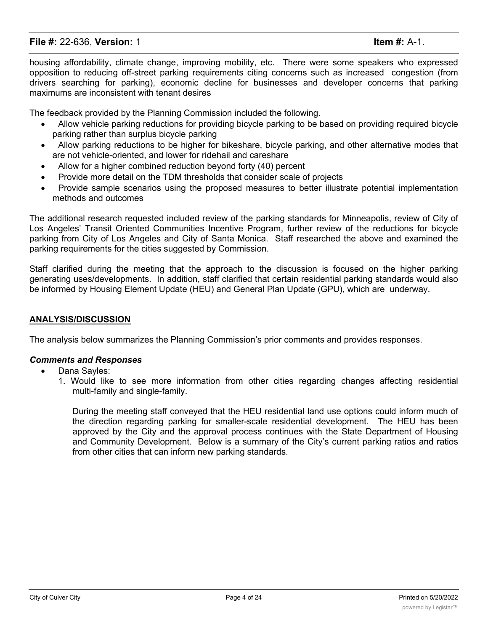housing affordability, climate change, improving mobility, etc. There were some speakers who expressed opposition to reducing off-street parking requirements citing concerns such as increased congestion (from drivers searching for parking), economic decline for businesses and developer concerns that parking maximums are inconsistent with tenant desires

The feedback provided by the Planning Commission included the following.

- · Allow vehicle parking reductions for providing bicycle parking to be based on providing required bicycle parking rather than surplus bicycle parking
- Allow parking reductions to be higher for bikeshare, bicycle parking, and other alternative modes that are not vehicle-oriented, and lower for ridehail and careshare
- Allow for a higher combined reduction beyond forty (40) percent
- Provide more detail on the TDM thresholds that consider scale of projects
- · Provide sample scenarios using the proposed measures to better illustrate potential implementation methods and outcomes

The additional research requested included review of the parking standards for Minneapolis, review of City of Los Angeles' Transit Oriented Communities Incentive Program, further review of the reductions for bicycle parking from City of Los Angeles and City of Santa Monica. Staff researched the above and examined the parking requirements for the cities suggested by Commission.

Staff clarified during the meeting that the approach to the discussion is focused on the higher parking generating uses/developments. In addition, staff clarified that certain residential parking standards would also be informed by Housing Element Update (HEU) and General Plan Update (GPU), which are underway.

### **ANALYSIS/DISCUSSION**

The analysis below summarizes the Planning Commission's prior comments and provides responses.

#### *Comments and Responses*

- Dana Sayles:
	- 1. Would like to see more information from other cities regarding changes affecting residential multi-family and single-family.

During the meeting staff conveyed that the HEU residential land use options could inform much of the direction regarding parking for smaller-scale residential development. The HEU has been approved by the City and the approval process continues with the State Department of Housing and Community Development. Below is a summary of the City's current parking ratios and ratios from other cities that can inform new parking standards.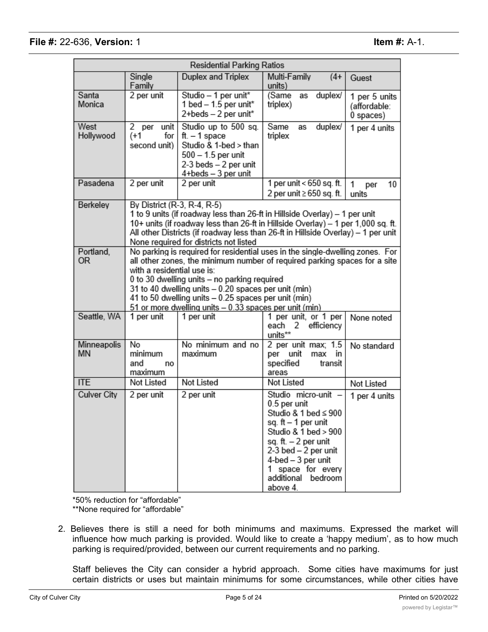| Residential Parking Ratios |                                                                                                                                                                                                                                                                                                                                                                                                                    |                                                                                                                                                                                                                                                                                               |                                                                                                                                                                                                                                         |                                            |  |
|----------------------------|--------------------------------------------------------------------------------------------------------------------------------------------------------------------------------------------------------------------------------------------------------------------------------------------------------------------------------------------------------------------------------------------------------------------|-----------------------------------------------------------------------------------------------------------------------------------------------------------------------------------------------------------------------------------------------------------------------------------------------|-----------------------------------------------------------------------------------------------------------------------------------------------------------------------------------------------------------------------------------------|--------------------------------------------|--|
|                            | Single<br>Family                                                                                                                                                                                                                                                                                                                                                                                                   | Duplex and Triplex                                                                                                                                                                                                                                                                            | Multi-Family<br>$(4 +$<br>units)                                                                                                                                                                                                        | Guest                                      |  |
| Santa<br>Monica            | 2 per unit                                                                                                                                                                                                                                                                                                                                                                                                         | Studio - 1 per unit*<br>1 bed - 1.5 per unit*<br>2+beds - 2 per unit*                                                                                                                                                                                                                         | (Same<br>duplex/<br>as<br>triplex)                                                                                                                                                                                                      | 1 per 5 units<br>(affordable:<br>0 spaces) |  |
| West<br>Hollywood          | 2 per<br>unit<br>(+1<br>for<br>second unit)                                                                                                                                                                                                                                                                                                                                                                        | Studio up to 500 sq.<br>ft. $-1$ space<br>Studio & 1-bed > than<br>500 - 1.5 per unit<br>2-3 beds - 2 per unit<br>4+beds - 3 per unit                                                                                                                                                         | Same<br>duplex/<br>as<br>triplex                                                                                                                                                                                                        | 1 per 4 units                              |  |
| Pasadena                   | 2 per unit                                                                                                                                                                                                                                                                                                                                                                                                         | 2 per unit                                                                                                                                                                                                                                                                                    | 1 per unit < 650 sq. ft.<br>2 per unit ≥ 650 sq. ft.                                                                                                                                                                                    | 10<br>1<br>per<br>units                    |  |
| Berkeley                   | By District (R-3, R-4, R-5)                                                                                                                                                                                                                                                                                                                                                                                        | 1 to 9 units (if roadway less than 26-ft in Hillside Overlay) - 1 per unit<br>10+ units (if roadway less than 26-ft in Hillside Overlay) - 1 per 1,000 sq. ft.<br>All other Districts (if roadway less than 26-ft in Hillside Overlay) - 1 per unit<br>None required for districts not listed |                                                                                                                                                                                                                                         |                                            |  |
| Portland.<br>0R            | No parking is required for residential uses in the single-dwelling zones. For<br>all other zones, the minimum number of required parking spaces for a site<br>with a residential use is:<br>0 to 30 dwelling units - no parking required<br>31 to 40 dwelling units - 0.20 spaces per unit (min)<br>41 to 50 dwelling units - 0.25 spaces per unit (min)<br>51 or more dwelling units - 0.33 spaces per unit (min) |                                                                                                                                                                                                                                                                                               |                                                                                                                                                                                                                                         |                                            |  |
| Seattle, WA                | 1 per unit                                                                                                                                                                                                                                                                                                                                                                                                         | 1 per unit                                                                                                                                                                                                                                                                                    | 1 per unit, or 1 per<br>each<br>efficiency<br>2<br>units**                                                                                                                                                                              | None noted                                 |  |
| Minneapolis<br>ΜN          | No<br>minimum<br>and<br>no<br>maximum                                                                                                                                                                                                                                                                                                                                                                              | No minimum and no<br>maximum                                                                                                                                                                                                                                                                  | 2 per unit max; 1.5<br>per unit<br>in<br>max<br>specified<br>transit<br>areas                                                                                                                                                           | No standard                                |  |
| <b>ITE</b>                 | Not Listed                                                                                                                                                                                                                                                                                                                                                                                                         | Not Listed                                                                                                                                                                                                                                                                                    | Not Listed                                                                                                                                                                                                                              | Not Listed                                 |  |
| <b>Culver City</b>         | 2 per unit                                                                                                                                                                                                                                                                                                                                                                                                         | 2 per unit                                                                                                                                                                                                                                                                                    | Studio micro-unit -<br>0.5 per unit<br>Studio & 1 bed ≤ 900<br>sq. ft - 1 per unit<br>Studio & 1 bed > 900<br>sq. ft. - 2 per unit<br>2-3 bed - 2 per unit<br>4-bed - 3 per unit<br>1 space for every<br>additional bedroom<br>above 4. | 1 per 4 units                              |  |

\*50% reduction for "affordable" \*\*None required for "affordable"

2. Believes there is still a need for both minimums and maximums. Expressed the market will influence how much parking is provided. Would like to create a 'happy medium', as to how much parking is required/provided, between our current requirements and no parking.

Staff believes the City can consider a hybrid approach. Some cities have maximums for just certain districts or uses but maintain minimums for some circumstances, while other cities have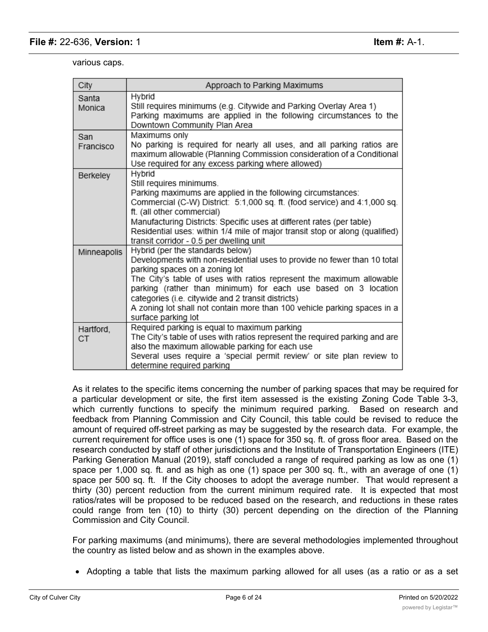various caps.

| City             | Approach to Parking Maximums                                                                                                                                                                                                                                                                                                                                                                                                                      |
|------------------|---------------------------------------------------------------------------------------------------------------------------------------------------------------------------------------------------------------------------------------------------------------------------------------------------------------------------------------------------------------------------------------------------------------------------------------------------|
| Santa<br>Monica  | Hybrid<br>Still requires minimums (e.g. Citywide and Parking Overlay Area 1)<br>Parking maximums are applied in the following circumstances to the<br>Downtown Community Plan Area                                                                                                                                                                                                                                                                |
| San<br>Francisco | Maximums only<br>No parking is required for nearly all uses, and all parking ratios are<br>maximum allowable (Planning Commission consideration of a Conditional<br>Use required for any excess parking where allowed)                                                                                                                                                                                                                            |
| Berkeley         | Hybrid<br>Still requires minimums.<br>Parking maximums are applied in the following circumstances:<br>Commercial (C-W) District: 5:1,000 sq. ft. (food service) and 4:1,000 sq.<br>ft. (all other commercial)<br>Manufacturing Districts: Specific uses at different rates (per table)<br>Residential uses: within 1/4 mile of major transit stop or along (qualified)<br>transit corridor - 0.5 per dwelling unit                                |
| Minneapolis      | Hybrid (per the standards below)<br>Developments with non-residential uses to provide no fewer than 10 total<br>parking spaces on a zoning lot<br>The City's table of uses with ratios represent the maximum allowable<br>parking (rather than minimum) for each use based on 3 location<br>categories (i.e. citywide and 2 transit districts)<br>A zoning lot shall not contain more than 100 vehicle parking spaces in a<br>surface parking lot |
| Hartford,<br>СT  | Required parking is equal to maximum parking<br>The City's table of uses with ratios represent the required parking and are<br>also the maximum allowable parking for each use<br>Several uses require a 'special permit review' or site plan review to<br>determine required parking                                                                                                                                                             |

As it relates to the specific items concerning the number of parking spaces that may be required for a particular development or site, the first item assessed is the existing Zoning Code Table 3-3, which currently functions to specify the minimum required parking. Based on research and feedback from Planning Commission and City Council, this table could be revised to reduce the amount of required off-street parking as may be suggested by the research data. For example, the current requirement for office uses is one (1) space for 350 sq. ft. of gross floor area. Based on the research conducted by staff of other jurisdictions and the Institute of Transportation Engineers (ITE) Parking Generation Manual (2019), staff concluded a range of required parking as low as one (1) space per 1,000 sq. ft. and as high as one (1) space per 300 sq. ft., with an average of one (1) space per 500 sq. ft. If the City chooses to adopt the average number. That would represent a thirty (30) percent reduction from the current minimum required rate. It is expected that most ratios/rates will be proposed to be reduced based on the research, and reductions in these rates could range from ten (10) to thirty (30) percent depending on the direction of the Planning Commission and City Council.

For parking maximums (and minimums), there are several methodologies implemented throughout the country as listed below and as shown in the examples above.

· Adopting a table that lists the maximum parking allowed for all uses (as a ratio or as a set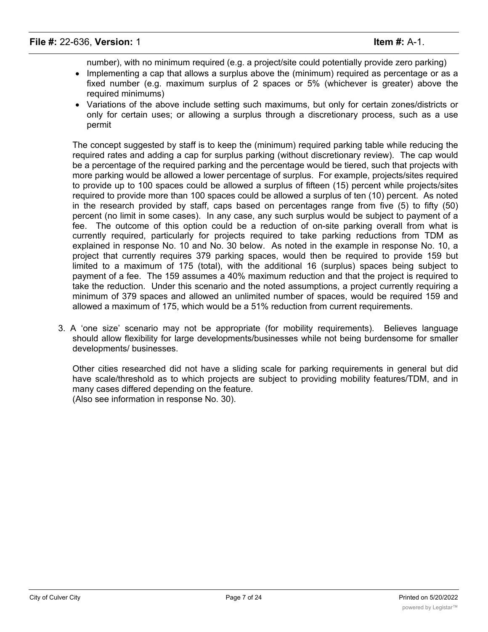number), with no minimum required (e.g. a project/site could potentially provide zero parking)

- Implementing a cap that allows a surplus above the (minimum) required as percentage or as a fixed number (e.g. maximum surplus of 2 spaces or 5% (whichever is greater) above the required minimums)
- · Variations of the above include setting such maximums, but only for certain zones/districts or only for certain uses; or allowing a surplus through a discretionary process, such as a use permit

The concept suggested by staff is to keep the (minimum) required parking table while reducing the required rates and adding a cap for surplus parking (without discretionary review). The cap would be a percentage of the required parking and the percentage would be tiered, such that projects with more parking would be allowed a lower percentage of surplus. For example, projects/sites required to provide up to 100 spaces could be allowed a surplus of fifteen (15) percent while projects/sites required to provide more than 100 spaces could be allowed a surplus of ten (10) percent. As noted in the research provided by staff, caps based on percentages range from five (5) to fifty (50) percent (no limit in some cases). In any case, any such surplus would be subject to payment of a fee. The outcome of this option could be a reduction of on-site parking overall from what is currently required, particularly for projects required to take parking reductions from TDM as explained in response No. 10 and No. 30 below. As noted in the example in response No. 10, a project that currently requires 379 parking spaces, would then be required to provide 159 but limited to a maximum of 175 (total), with the additional 16 (surplus) spaces being subject to payment of a fee. The 159 assumes a 40% maximum reduction and that the project is required to take the reduction. Under this scenario and the noted assumptions, a project currently requiring a minimum of 379 spaces and allowed an unlimited number of spaces, would be required 159 and allowed a maximum of 175, which would be a 51% reduction from current requirements.

3. A 'one size' scenario may not be appropriate (for mobility requirements). Believes language should allow flexibility for large developments/businesses while not being burdensome for smaller developments/ businesses.

Other cities researched did not have a sliding scale for parking requirements in general but did have scale/threshold as to which projects are subject to providing mobility features/TDM, and in many cases differed depending on the feature. (Also see information in response No. 30).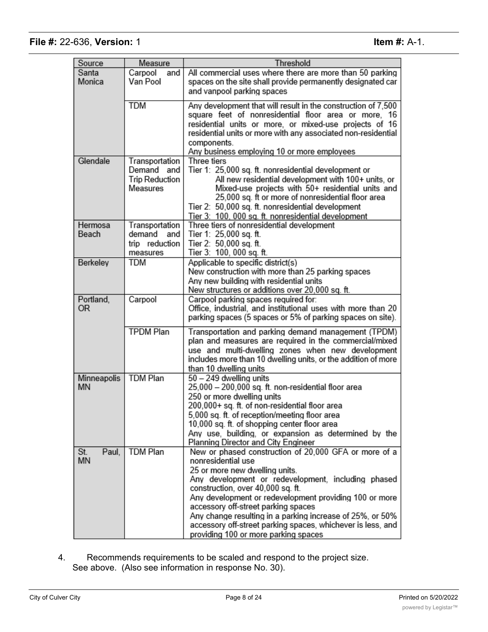| Source             | Measure                                                              | Threshold                                                                                                                                                                                                                                                                                                                                                                                                                                                                     |  |  |  |  |
|--------------------|----------------------------------------------------------------------|-------------------------------------------------------------------------------------------------------------------------------------------------------------------------------------------------------------------------------------------------------------------------------------------------------------------------------------------------------------------------------------------------------------------------------------------------------------------------------|--|--|--|--|
| Santa<br>Monica    | Carpool<br>and<br>Van Pool                                           | All commercial uses where there are more than 50 parking<br>spaces on the site shall provide permanently designated car<br>and vanpool parking spaces                                                                                                                                                                                                                                                                                                                         |  |  |  |  |
|                    | <b>TDM</b>                                                           | Any development that will result in the construction of 7,500<br>square feet of nonresidential floor area or more, 16<br>residential units or more, or mixed-use projects of 16<br>residential units or more with any associated non-residential<br>components.<br>Any business employing 10 or more employees                                                                                                                                                                |  |  |  |  |
| Glendale           | Transportation<br>Demand<br>and<br><b>Trip Reduction</b><br>Measures | Three tiers<br>Tier 1: 25,000 sq. ft. nonresidential development or<br>All new residential development with 100+ units, or<br>Mixed-use projects with 50+ residential units and<br>25,000 sq. ft or more of nonresidential floor area<br>Tier 2: 50,000 sq. ft. nonresidential development<br>Tier 3: 100, 000 sq. ft. nonresidential development                                                                                                                             |  |  |  |  |
| Hermosa<br>Beach   | Transportation<br>demand<br>and<br>trip reduction<br>measures        | Three tiers of nonresidential development<br>Tier 1: 25,000 sq. ft.<br>Tier 2: 50,000 sq. ft.<br>Tier 3: 100, 000 sq. ft.                                                                                                                                                                                                                                                                                                                                                     |  |  |  |  |
| Berkeley           | TDM                                                                  | Applicable to specific district(s)<br>New construction with more than 25 parking spaces<br>Any new building with residential units<br>New structures or additions over 20,000 sq. ft.                                                                                                                                                                                                                                                                                         |  |  |  |  |
| Portland,<br>0R    | Carpool                                                              | Carpool parking spaces required for:<br>Office, industrial, and institutional uses with more than 20<br>parking spaces (5 spaces or 5% of parking spaces on site).                                                                                                                                                                                                                                                                                                            |  |  |  |  |
|                    | <b>TPDM Plan</b>                                                     | Transportation and parking demand management (TPDM)<br>plan and measures are required in the commercial/mixed<br>use and multi-dwelling zones when new development<br>includes more than 10 dwelling units, or the addition of more<br>than 10 dwelling units                                                                                                                                                                                                                 |  |  |  |  |
| Minneapolis<br>MN  | <b>TDM</b> Plan                                                      | 50 - 249 dwelling units<br>25,000 - 200,000 sq. ft. non-residential floor area<br>250 or more dwelling units<br>200,000+ sq. ft. of non-residential floor area<br>5,000 sq. ft. of reception/meeting floor area<br>10,000 sq. ft. of shopping center floor area<br>Any use, building, or expansion as determined by the<br>Planning Director and City Engineer                                                                                                                |  |  |  |  |
| St.<br>Paul,<br>MN | <b>TDM Plan</b>                                                      | New or phased construction of 20,000 GFA or more of a<br>nonresidential use<br>25 or more new dwelling units.<br>Any development or redevelopment, including phased<br>construction, over 40,000 sq. ft.<br>Any development or redevelopment providing 100 or more<br>accessory off-street parking spaces<br>Any change resulting in a parking increase of 25%, or 50%<br>accessory off-street parking spaces, whichever is less, and<br>providing 100 or more parking spaces |  |  |  |  |

4. Recommends requirements to be scaled and respond to the project size. See above. (Also see information in response No. 30).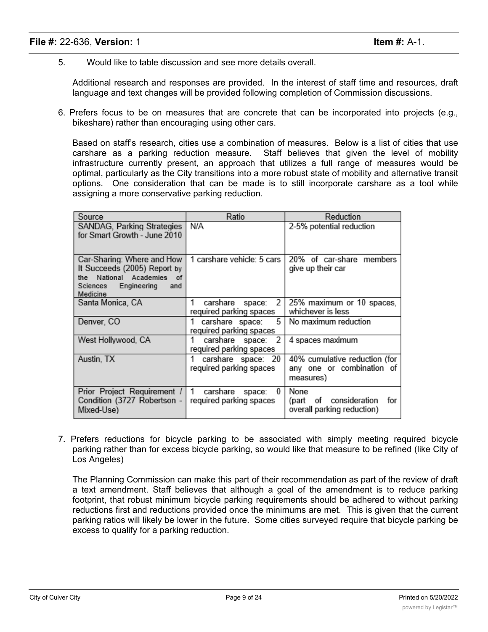5. Would like to table discussion and see more details overall.

Additional research and responses are provided. In the interest of staff time and resources, draft language and text changes will be provided following completion of Commission discussions.

6. Prefers focus to be on measures that are concrete that can be incorporated into projects (e.g., bikeshare) rather than encouraging using other cars.

Based on staff's research, cities use a combination of measures. Below is a list of cities that use carshare as a parking reduction measure. Staff believes that given the level of mobility infrastructure currently present, an approach that utilizes a full range of measures would be optimal, particularly as the City transitions into a more robust state of mobility and alternative transit options. One consideration that can be made is to still incorporate carshare as a tool while assigning a more conservative parking reduction.

| Source                                                                                                                                   | Ratio                                              | Reduction                                                                  |
|------------------------------------------------------------------------------------------------------------------------------------------|----------------------------------------------------|----------------------------------------------------------------------------|
| SANDAG, Parking Strategies<br>for Smart Growth - June 2010                                                                               | N/A                                                | 2-5% potential reduction                                                   |
| Car-Sharing: Where and How<br>It Succeeds (2005) Report by<br>National Academies<br>of<br>the<br>Sciences Engineering<br>and<br>Medicine | 1 carshare vehicle: 5 cars                         | 20% of car-share members<br>give up their car                              |
| Santa Monica, CA                                                                                                                         | 2<br>carshare<br>space:<br>required parking spaces | 25% maximum or 10 spaces,<br>whichever is less                             |
| Denver, CO                                                                                                                               | carshare space:<br>5<br>required parking spaces    | No maximum reduction                                                       |
| West Hollywood, CA                                                                                                                       | 2<br>carshare space:<br>required parking spaces    | 4 spaces maximum                                                           |
| Austin, TX                                                                                                                               | carshare space: 20<br>required parking spaces      | 40% cumulative reduction (for<br>any one or combination<br>οf<br>measures) |
| Prior Project Requirement /<br>Condition (3727 Robertson -<br>Mixed-Use)                                                                 | carshare<br>0<br>space:<br>required parking spaces | None<br>consideration<br>for<br>οf<br>(part<br>overall parking reduction)  |

7. Prefers reductions for bicycle parking to be associated with simply meeting required bicycle parking rather than for excess bicycle parking, so would like that measure to be refined (like City of Los Angeles)

The Planning Commission can make this part of their recommendation as part of the review of draft a text amendment. Staff believes that although a goal of the amendment is to reduce parking footprint, that robust minimum bicycle parking requirements should be adhered to without parking reductions first and reductions provided once the minimums are met. This is given that the current parking ratios will likely be lower in the future. Some cities surveyed require that bicycle parking be excess to qualify for a parking reduction.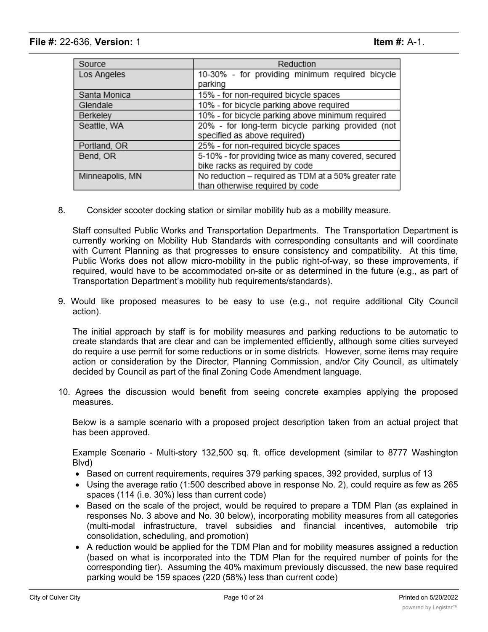| Source          | Reduction                                            |
|-----------------|------------------------------------------------------|
| Los Angeles     | 10-30% - for providing minimum required bicycle      |
|                 | parking                                              |
| Santa Monica    | 15% - for non-required bicycle spaces                |
| Glendale        | 10% - for bicycle parking above required             |
| Berkeley        | 10% - for bicycle parking above minimum required     |
| Seattle, WA     | 20% - for long-term bicycle parking provided (not    |
|                 | specified as above required)                         |
| Portland, OR    | 25% - for non-required bicycle spaces                |
| Bend, OR        | 5-10% - for providing twice as many covered, secured |
|                 | bike racks as required by code                       |
| Minneapolis, MN | No reduction - required as TDM at a 50% greater rate |
|                 | than otherwise required by code                      |

8. Consider scooter docking station or similar mobility hub as a mobility measure.

Staff consulted Public Works and Transportation Departments. The Transportation Department is currently working on Mobility Hub Standards with corresponding consultants and will coordinate with Current Planning as that progresses to ensure consistency and compatibility. At this time, Public Works does not allow micro-mobility in the public right-of-way, so these improvements, if required, would have to be accommodated on-site or as determined in the future (e.g., as part of Transportation Department's mobility hub requirements/standards).

9. Would like proposed measures to be easy to use (e.g., not require additional City Council action).

The initial approach by staff is for mobility measures and parking reductions to be automatic to create standards that are clear and can be implemented efficiently, although some cities surveyed do require a use permit for some reductions or in some districts. However, some items may require action or consideration by the Director, Planning Commission, and/or City Council, as ultimately decided by Council as part of the final Zoning Code Amendment language.

10. Agrees the discussion would benefit from seeing concrete examples applying the proposed measures.

Below is a sample scenario with a proposed project description taken from an actual project that has been approved.

Example Scenario - Multi-story 132,500 sq. ft. office development (similar to 8777 Washington Blvd)

- Based on current requirements, requires 379 parking spaces, 392 provided, surplus of 13
- · Using the average ratio (1:500 described above in response No. 2), could require as few as 265 spaces (114 (i.e. 30%) less than current code)
- · Based on the scale of the project, would be required to prepare a TDM Plan (as explained in responses No. 3 above and No. 30 below), incorporating mobility measures from all categories (multi-modal infrastructure, travel subsidies and financial incentives, automobile trip consolidation, scheduling, and promotion)
- · A reduction would be applied for the TDM Plan and for mobility measures assigned a reduction (based on what is incorporated into the TDM Plan for the required number of points for the corresponding tier). Assuming the 40% maximum previously discussed, the new base required parking would be 159 spaces (220 (58%) less than current code)

 $\sim$  The parking maximum (or surplus parking) would be allowed based on a cap (to be determined) would be determined by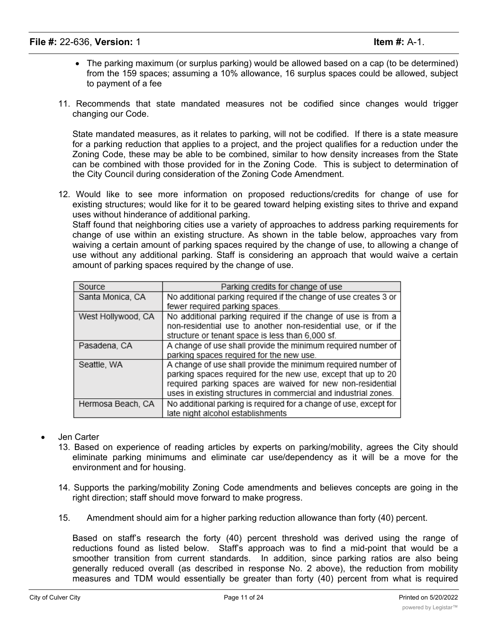- · The parking maximum (or surplus parking) would be allowed based on a cap (to be determined) from the 159 spaces; assuming a 10% allowance, 16 surplus spaces could be allowed, subject to payment of a fee
- 11. Recommends that state mandated measures not be codified since changes would trigger changing our Code.

State mandated measures, as it relates to parking, will not be codified. If there is a state measure for a parking reduction that applies to a project, and the project qualifies for a reduction under the Zoning Code, these may be able to be combined, similar to how density increases from the State can be combined with those provided for in the Zoning Code. This is subject to determination of the City Council during consideration of the Zoning Code Amendment.

12. Would like to see more information on proposed reductions/credits for change of use for existing structures; would like for it to be geared toward helping existing sites to thrive and expand uses without hinderance of additional parking.

Staff found that neighboring cities use a variety of approaches to address parking requirements for change of use within an existing structure. As shown in the table below, approaches vary from waiving a certain amount of parking spaces required by the change of use, to allowing a change of use without any additional parking. Staff is considering an approach that would waive a certain amount of parking spaces required by the change of use.

| Source             | Parking credits for change of use                                 |
|--------------------|-------------------------------------------------------------------|
| Santa Monica, CA   | No additional parking required if the change of use creates 3 or  |
|                    | fewer required parking spaces.                                    |
| West Hollywood, CA | No additional parking required if the change of use is from a     |
|                    | non-residential use to another non-residential use, or if the     |
|                    | structure or tenant space is less than 6,000 sf.                  |
| Pasadena, CA       | A change of use shall provide the minimum required number of      |
|                    | parking spaces required for the new use.                          |
| Seattle, WA        | A change of use shall provide the minimum required number of      |
|                    | parking spaces required for the new use, except that up to 20     |
|                    | required parking spaces are waived for new non-residential        |
|                    | uses in existing structures in commercial and industrial zones.   |
| Hermosa Beach, CA  | No additional parking is required for a change of use, except for |
|                    | late night alcohol establishments                                 |

- · Jen Carter
	- 13. Based on experience of reading articles by experts on parking/mobility, agrees the City should eliminate parking minimums and eliminate car use/dependency as it will be a move for the environment and for housing.
	- 14. Supports the parking/mobility Zoning Code amendments and believes concepts are going in the right direction; staff should move forward to make progress.
	- 15. Amendment should aim for a higher parking reduction allowance than forty (40) percent.

Based on staff's research the forty (40) percent threshold was derived using the range of reductions found as listed below. Staff's approach was to find a mid-point that would be a smoother transition from current standards. In addition, since parking ratios are also being generally reduced overall (as described in response No. 2 above), the reduction from mobility measures and TDM would essentially be greater than forty (40) percent from what is required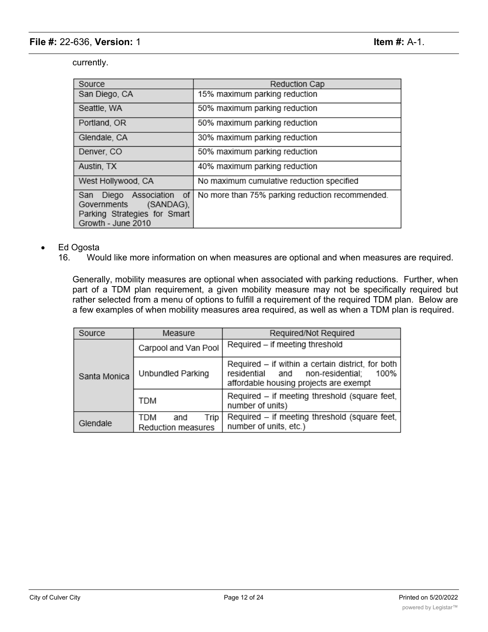currently.

| Source                                                                                                           | Reduction Cap                                   |
|------------------------------------------------------------------------------------------------------------------|-------------------------------------------------|
| San Diego, CA                                                                                                    | 15% maximum parking reduction                   |
| Seattle, WA                                                                                                      | 50% maximum parking reduction                   |
| Portland, OR                                                                                                     | 50% maximum parking reduction                   |
| Glendale, CA                                                                                                     | 30% maximum parking reduction                   |
| Denver, CO                                                                                                       | 50% maximum parking reduction                   |
| Austin, TX                                                                                                       | 40% maximum parking reduction                   |
| West Hollywood, CA                                                                                               | No maximum cumulative reduction specified       |
| of<br>Diego Association<br>San<br>Governments<br>(SANDAG),<br>Parking Strategies for Smart<br>Growth - June 2010 | No more than 75% parking reduction recommended. |

### · Ed Ogosta

16. Would like more information on when measures are optional and when measures are required.

Generally, mobility measures are optional when associated with parking reductions. Further, when part of a TDM plan requirement, a given mobility measure may not be specifically required but rather selected from a menu of options to fulfill a requirement of the required TDM plan. Below are a few examples of when mobility measures area required, as well as when a TDM plan is required.

| Source       | Measure                                  | Required/Not Required                                                                                                                         |  |  |  |
|--------------|------------------------------------------|-----------------------------------------------------------------------------------------------------------------------------------------------|--|--|--|
|              | Carpool and Van Pool                     | Required - if meeting threshold                                                                                                               |  |  |  |
| Santa Monica | Unbundled Parking                        | Required - if within a certain district, for both<br>non-residential;<br>100%<br>residential<br>and<br>affordable housing projects are exempt |  |  |  |
|              | TDM                                      | Required – if meeting threshold (square feet,<br>number of units)                                                                             |  |  |  |
| Glendale     | TDM<br>Trip<br>and<br>Reduction measures | Required - if meeting threshold (square feet,<br>number of units, etc.)                                                                       |  |  |  |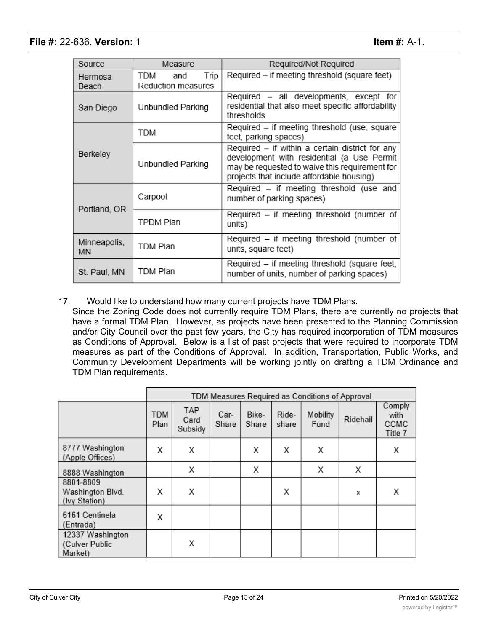| Source             | Measure                                  | Required/Not Required                                                                                                                                                                        |  |  |
|--------------------|------------------------------------------|----------------------------------------------------------------------------------------------------------------------------------------------------------------------------------------------|--|--|
| Hermosa<br>Beach   | Trip<br>TDM<br>and<br>Reduction measures | Required – if meeting threshold (square feet)                                                                                                                                                |  |  |
| San Diego          | Unbundled Parking                        | Required - all developments, except for<br>residential that also meet specific affordability<br>thresholds                                                                                   |  |  |
|                    | TDM                                      | Required - if meeting threshold (use, square<br>feet, parking spaces)                                                                                                                        |  |  |
| Berkeley           | Unbundled Parking                        | Required - if within a certain district for any<br>development with residential (a Use Permit<br>may be requested to waive this requirement for<br>projects that include affordable housing) |  |  |
| Portland, OR       | Carpool                                  | Required - if meeting threshold (use and<br>number of parking spaces)                                                                                                                        |  |  |
|                    | TPDM Plan                                | Required - if meeting threshold (number of<br>units)                                                                                                                                         |  |  |
| Minneapolis,<br>ΜN | TDM Plan                                 | Required – if meeting threshold (number of<br>units, square feet)                                                                                                                            |  |  |
| St. Paul, MN       | TDM Plan                                 | Required - if meeting threshold (square feet,<br>number of units, number of parking spaces)                                                                                                  |  |  |

17. Would like to understand how many current projects have TDM Plans.

Since the Zoning Code does not currently require TDM Plans, there are currently no projects that have a formal TDM Plan. However, as projects have been presented to the Planning Commission and/or City Council over the past few years, the City has required incorporation of TDM measures as Conditions of Approval. Below is a list of past projects that were required to incorporate TDM measures as part of the Conditions of Approval. In addition, Transportation, Public Works, and Community Development Departments will be working jointly on drafting a TDM Ordinance and TDM Plan requirements.

|                                                |                    | TDM Measures Required as Conditions of Approval |               |                |                |                  |          |                                   |
|------------------------------------------------|--------------------|-------------------------------------------------|---------------|----------------|----------------|------------------|----------|-----------------------------------|
|                                                | <b>TDM</b><br>Plan | TAP<br>Card<br>Subsidy                          | Car-<br>Share | Bike-<br>Share | Ride-<br>share | Mobility<br>Fund | Ridehail | Comply<br>with<br>CCMC<br>Title 7 |
| 8777 Washington<br>(Apple Offices)             | Х                  | Х                                               |               | Х              | х              | х                |          | х                                 |
| 8888 Washington                                |                    | Х                                               |               | Х              |                | Х                | х        |                                   |
| 8801-8809<br>Washington Blvd.<br>(Ivy Station) | Х                  | Χ                                               |               |                | х              |                  | x        | х                                 |
| 6161 Centinela<br>(Entrada)                    | Χ                  |                                                 |               |                |                |                  |          |                                   |
| 12337 Washington<br>(Culver Public<br>Market)  |                    | Х                                               |               |                |                |                  |          |                                   |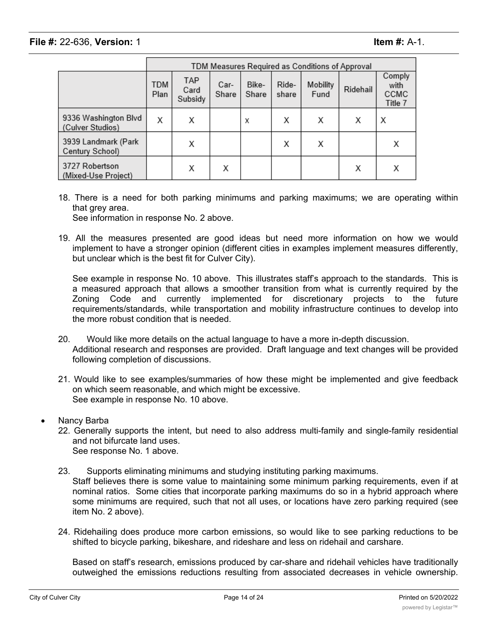|                                          | TDM Measures Required as Conditions of Approval |                        |               |                |                |                  |          |                                   |
|------------------------------------------|-------------------------------------------------|------------------------|---------------|----------------|----------------|------------------|----------|-----------------------------------|
|                                          | TDM<br>Plan                                     | TAP<br>Card<br>Subsidy | Car-<br>Share | Bike-<br>Share | Ride-<br>share | Mobility<br>Fund | Ridehail | Comply<br>with<br>CCMC<br>Title 7 |
| 9336 Washington Blvd<br>(Culver Studios) | Х                                               | Х                      |               | х              | х              | х                | х        | Х                                 |
| 3939 Landmark (Park<br>Century School)   |                                                 | Χ                      |               |                | х              | Х                |          |                                   |
| 3727 Robertson<br>(Mixed-Use Project)    |                                                 | Χ                      | Х             |                |                |                  | х        | х                                 |

18. There is a need for both parking minimums and parking maximums; we are operating within that grey area.

See information in response No. 2 above.

19. All the measures presented are good ideas but need more information on how we would implement to have a stronger opinion (different cities in examples implement measures differently, but unclear which is the best fit for Culver City).

See example in response No. 10 above. This illustrates staff's approach to the standards. This is a measured approach that allows a smoother transition from what is currently required by the Zoning Code and currently implemented for discretionary projects to the future requirements/standards, while transportation and mobility infrastructure continues to develop into the more robust condition that is needed.

- 20. Would like more details on the actual language to have a more in-depth discussion. Additional research and responses are provided. Draft language and text changes will be provided following completion of discussions.
- 21. Would like to see examples/summaries of how these might be implemented and give feedback on which seem reasonable, and which might be excessive. See example in response No. 10 above.
- Nancy Barba
	- 22. Generally supports the intent, but need to also address multi-family and single-family residential and not bifurcate land uses. See response No. 1 above.
	- 23. Supports eliminating minimums and studying instituting parking maximums. Staff believes there is some value to maintaining some minimum parking requirements, even if at nominal ratios. Some cities that incorporate parking maximums do so in a hybrid approach where some minimums are required, such that not all uses, or locations have zero parking required (see item No. 2 above).
	- 24. Ridehailing does produce more carbon emissions, so would like to see parking reductions to be shifted to bicycle parking, bikeshare, and rideshare and less on ridehail and carshare.

Based on staff's research, emissions produced by car-share and ridehail vehicles have traditionally outweighed the emissions reductions resulting from associated decreases in vehicle ownership.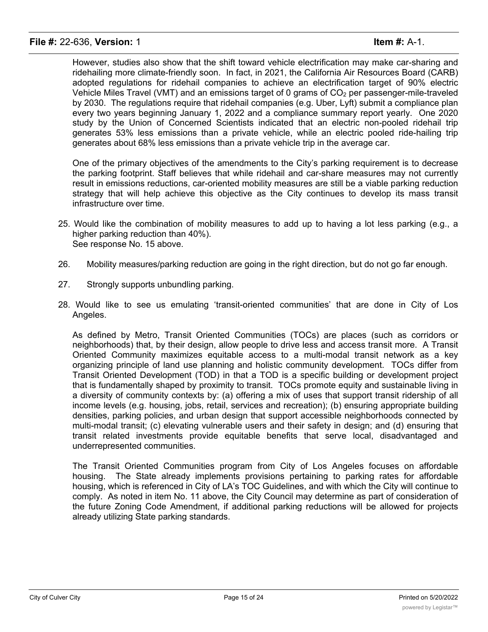However, studies also show that the shift toward vehicle electrification may make car-sharing and ridehailing more climate-friendly soon. In fact, in 2021, the California Air Resources Board (CARB) adopted regulations for ridehail companies to achieve an electrification target of 90% electric Vehicle Miles Travel (VMT) and an emissions target of 0 grams of  $CO<sub>2</sub>$  per passenger-mile-traveled by 2030. The regulations require that ridehail companies (e.g. Uber, Lyft) submit a compliance plan every two years beginning January 1, 2022 and a compliance summary report yearly. One 2020 study by the Union of Concerned Scientists indicated that an electric non-pooled ridehail trip generates 53% less emissions than a private vehicle, while an electric pooled ride-hailing trip generates about 68% less emissions than a private vehicle trip in the average car.

One of the primary objectives of the amendments to the City's parking requirement is to decrease the parking footprint. Staff believes that while ridehail and car-share measures may not currently result in emissions reductions, car-oriented mobility measures are still be a viable parking reduction strategy that will help achieve this objective as the City continues to develop its mass transit infrastructure over time.

- 25. Would like the combination of mobility measures to add up to having a lot less parking (e.g., a higher parking reduction than 40%). See response No. 15 above.
- 26. Mobility measures/parking reduction are going in the right direction, but do not go far enough.
- 27. Strongly supports unbundling parking.
- 28. Would like to see us emulating 'transit-oriented communities' that are done in City of Los Angeles.

As defined by Metro, Transit Oriented Communities (TOCs) are places (such as corridors or neighborhoods) that, by their design, allow people to drive less and access transit more. A Transit Oriented Community maximizes equitable access to a multi-modal transit network as a key organizing principle of land use planning and holistic community development. TOCs differ from Transit Oriented Development (TOD) in that a TOD is a specific building or development project that is fundamentally shaped by proximity to transit. TOCs promote equity and sustainable living in a diversity of community contexts by: (a) offering a mix of uses that support transit ridership of all income levels (e.g. housing, jobs, retail, services and recreation); (b) ensuring appropriate building densities, parking policies, and urban design that support accessible neighborhoods connected by multi-modal transit; (c) elevating vulnerable users and their safety in design; and (d) ensuring that transit related investments provide equitable benefits that serve local, disadvantaged and underrepresented communities.

The Transit Oriented Communities program from City of Los Angeles focuses on affordable housing. The State already implements provisions pertaining to parking rates for affordable housing, which is referenced in City of LA's TOC Guidelines, and with which the City will continue to comply. As noted in item No. 11 above, the City Council may determine as part of consideration of the future Zoning Code Amendment, if additional parking reductions will be allowed for projects already utilizing State parking standards.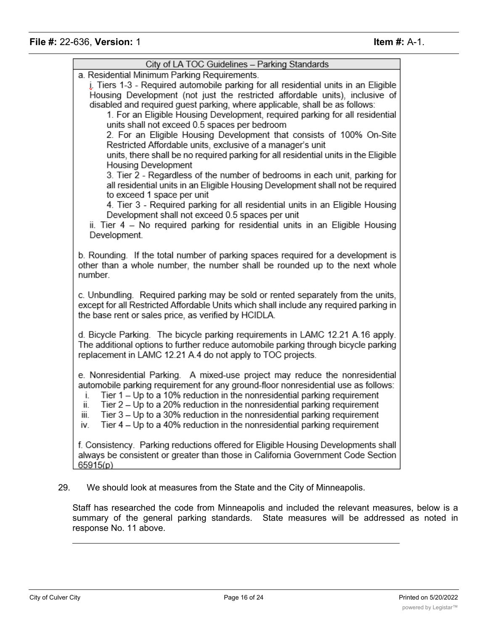| City of LA TOC Guidelines - Parking Standards                                                                                                                                                                                                                                                                                                                                                                                                                                                                                                                                                                                                                                                                                                                                                                                                                                                                                                                                                                                                                                                               |
|-------------------------------------------------------------------------------------------------------------------------------------------------------------------------------------------------------------------------------------------------------------------------------------------------------------------------------------------------------------------------------------------------------------------------------------------------------------------------------------------------------------------------------------------------------------------------------------------------------------------------------------------------------------------------------------------------------------------------------------------------------------------------------------------------------------------------------------------------------------------------------------------------------------------------------------------------------------------------------------------------------------------------------------------------------------------------------------------------------------|
| a. Residential Minimum Parking Requirements.<br>j. Tiers 1-3 - Required automobile parking for all residential units in an Eligible<br>Housing Development (not just the restricted affordable units), inclusive of<br>disabled and required guest parking, where applicable, shall be as follows:<br>1. For an Eligible Housing Development, required parking for all residential<br>units shall not exceed 0.5 spaces per bedroom<br>2. For an Eligible Housing Development that consists of 100% On-Site<br>Restricted Affordable units, exclusive of a manager's unit<br>units, there shall be no required parking for all residential units in the Eligible<br>Housing Development<br>3. Tier 2 - Regardless of the number of bedrooms in each unit, parking for<br>all residential units in an Eligible Housing Development shall not be required<br>to exceed 1 space per unit<br>4. Tier 3 - Required parking for all residential units in an Eligible Housing<br>Development shall not exceed 0.5 spaces per unit<br>ii. Tier 4 - No required parking for residential units in an Eligible Housing |
| Development.<br>b. Rounding. If the total number of parking spaces required for a development is<br>other than a whole number, the number shall be rounded up to the next whole<br>number.                                                                                                                                                                                                                                                                                                                                                                                                                                                                                                                                                                                                                                                                                                                                                                                                                                                                                                                  |
| c. Unbundling. Required parking may be sold or rented separately from the units,<br>except for all Restricted Affordable Units which shall include any required parking in<br>the base rent or sales price, as verified by HCIDLA.                                                                                                                                                                                                                                                                                                                                                                                                                                                                                                                                                                                                                                                                                                                                                                                                                                                                          |
| d. Bicycle Parking. The bicycle parking requirements in LAMC 12.21 A.16 apply.<br>The additional options to further reduce automobile parking through bicycle parking<br>replacement in LAMC 12.21 A.4 do not apply to TOC projects.                                                                                                                                                                                                                                                                                                                                                                                                                                                                                                                                                                                                                                                                                                                                                                                                                                                                        |
| e. Nonresidential Parking. A mixed-use project may reduce the nonresidential<br>automobile parking requirement for any ground-floor nonresidential use as follows:<br>Tier $1 -$ Up to a 10% reduction in the nonresidential parking requirement<br>İ.<br>Tier 2 – Up to a 20% reduction in the nonresidential parking requirement<br>ii.<br>iii.<br>Tier 3 - Up to a 30% reduction in the nonresidential parking requirement<br>Tier 4 - Up to a 40% reduction in the nonresidential parking requirement<br>IV.                                                                                                                                                                                                                                                                                                                                                                                                                                                                                                                                                                                            |
| f. Consistency. Parking reductions offered for Eligible Housing Developments shall<br>always be consistent or greater than those in California Government Code Section<br>65915(p)                                                                                                                                                                                                                                                                                                                                                                                                                                                                                                                                                                                                                                                                                                                                                                                                                                                                                                                          |

Staff has researched the code from Minneapolis and included the relevant measures, below is a summary of the general parking standards. State measures will be addressed as noted in response No. 11 above.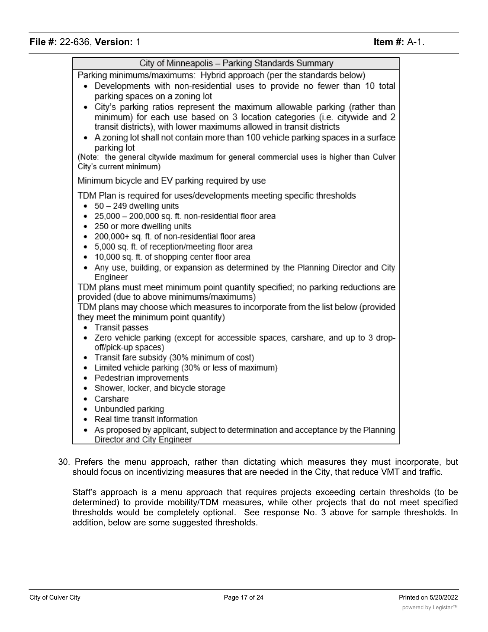| City of Minneapolis - Parking Standards Summary                                                                                                                                                                                                                                                                                                                                                                                                                                                                                                                                                                                                                                                                                                 |
|-------------------------------------------------------------------------------------------------------------------------------------------------------------------------------------------------------------------------------------------------------------------------------------------------------------------------------------------------------------------------------------------------------------------------------------------------------------------------------------------------------------------------------------------------------------------------------------------------------------------------------------------------------------------------------------------------------------------------------------------------|
| Parking minimums/maximums: Hybrid approach (per the standards below)<br>Developments with non-residential uses to provide no fewer than 10 total<br>٠<br>parking spaces on a zoning lot<br>• City's parking ratios represent the maximum allowable parking (rather than<br>minimum) for each use based on 3 location categories (i.e. citywide and 2<br>transit districts), with lower maximums allowed in transit districts<br>• A zoning lot shall not contain more than 100 vehicle parking spaces in a surface<br>parking lot<br>(Note: the general citywide maximum for general commercial uses is higher than Culver<br>City's current minimum)                                                                                           |
| Minimum bicycle and EV parking required by use                                                                                                                                                                                                                                                                                                                                                                                                                                                                                                                                                                                                                                                                                                  |
| TDM Plan is required for uses/developments meeting specific thresholds<br>$\bullet$ 50 - 249 dwelling units<br>· 25,000 - 200,000 sq. ft. non-residential floor area<br>• 250 or more dwelling units<br>• 200,000+ sq. ft. of non-residential floor area<br>• 5,000 sq. ft. of reception/meeting floor area<br>• 10,000 sq. ft. of shopping center floor area<br>• Any use, building, or expansion as determined by the Planning Director and City<br>Engineer<br>TDM plans must meet minimum point quantity specified; no parking reductions are<br>provided (due to above minimums/maximums)<br>TDM plans may choose which measures to incorporate from the list below (provided<br>they meet the minimum point quantity)<br>• Transit passes |
| • Zero vehicle parking (except for accessible spaces, carshare, and up to 3 drop-<br>off/pick-up spaces)<br>• Transit fare subsidy (30% minimum of cost)<br>• Limited vehicle parking (30% or less of maximum)<br>• Pedestrian improvements<br>• Shower, locker, and bicycle storage<br>• Carshare<br>• Unbundled parking<br>• Real time transit information                                                                                                                                                                                                                                                                                                                                                                                    |
| • As proposed by applicant, subject to determination and acceptance by the Planning<br>Director and City Engineer                                                                                                                                                                                                                                                                                                                                                                                                                                                                                                                                                                                                                               |

30. Prefers the menu approach, rather than dictating which measures they must incorporate, but should focus on incentivizing measures that are needed in the City, that reduce VMT and traffic.

Staff's approach is a menu approach that requires projects exceeding certain thresholds (to be determined) to provide mobility/TDM measures, while other projects that do not meet specified thresholds would be completely optional. See response No. 3 above for sample thresholds. In addition, below are some suggested thresholds.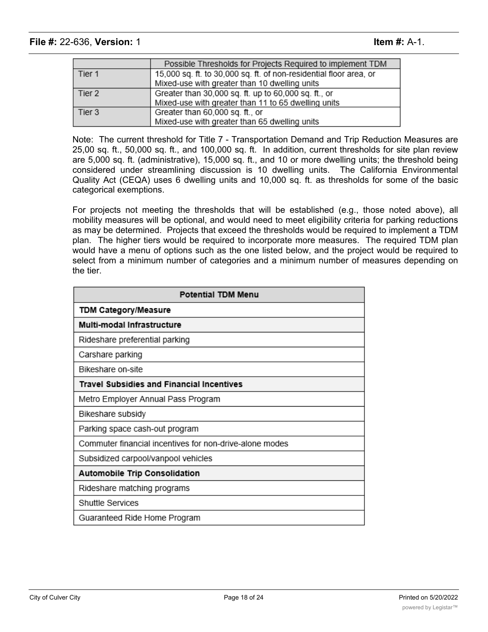|        | Possible Thresholds for Projects Required to implement TDM         |
|--------|--------------------------------------------------------------------|
| Tier 1 | 15,000 sq. ft. to 30,000 sq. ft. of non-residential floor area, or |
|        | Mixed-use with greater than 10 dwelling units                      |
| Tier 2 | Greater than 30,000 sq. ft. up to 60,000 sq. ft., or               |
|        | Mixed-use with greater than 11 to 65 dwelling units                |
| Tier 3 | Greater than 60,000 sq. ft., or                                    |
|        | Mixed-use with greater than 65 dwelling units                      |

Note: The current threshold for Title 7 - Transportation Demand and Trip Reduction Measures are 25,00 sq. ft., 50,000 sq. ft., and 100,000 sq. ft. In addition, current thresholds for site plan review are 5,000 sq. ft. (administrative), 15,000 sq. ft., and 10 or more dwelling units; the threshold being considered under streamlining discussion is 10 dwelling units. The California Environmental Quality Act (CEQA) uses 6 dwelling units and 10,000 sq. ft. as thresholds for some of the basic categorical exemptions.

For projects not meeting the thresholds that will be established (e.g., those noted above), all mobility measures will be optional, and would need to meet eligibility criteria for parking reductions as may be determined. Projects that exceed the thresholds would be required to implement a TDM plan. The higher tiers would be required to incorporate more measures. The required TDM plan would have a menu of options such as the one listed below, and the project would be required to select from a minimum number of categories and a minimum number of measures depending on the tier.

| Potential TDM Menu                                      |
|---------------------------------------------------------|
| TDM Category/Measure                                    |
| Multi-modal Infrastructure                              |
| Rideshare preferential parking                          |
| Carshare parking                                        |
| Bikeshare on-site                                       |
| <b>Travel Subsidies and Financial Incentives</b>        |
| Metro Employer Annual Pass Program                      |
| Bikeshare subsidy                                       |
| Parking space cash-out program                          |
| Commuter financial incentives for non-drive-alone modes |
| Subsidized carpool/vanpool vehicles                     |
| <b>Automobile Trip Consolidation</b>                    |
| Rideshare matching programs                             |
| Shuttle Services                                        |
| Guaranteed Ride Home Program                            |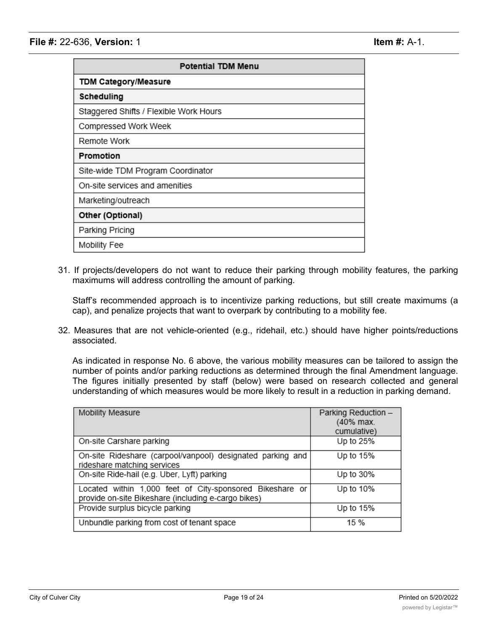| <b>Potential TDM Menu</b>              |
|----------------------------------------|
| <b>TDM Category/Measure</b>            |
| Scheduling                             |
| Staggered Shifts / Flexible Work Hours |
| Compressed Work Week                   |
| Remote Work                            |
| Promotion                              |
| Site-wide TDM Program Coordinator      |
| On-site services and amenities         |
| Marketing/outreach                     |
| Other (Optional)                       |
| Parking Pricing                        |
| Mobility Fee                           |

31. If projects/developers do not want to reduce their parking through mobility features, the parking maximums will address controlling the amount of parking.

Staff's recommended approach is to incentivize parking reductions, but still create maximums (a cap), and penalize projects that want to overpark by contributing to a mobility fee.

32. Measures that are not vehicle-oriented (e.g., ridehail, etc.) should have higher points/reductions associated.

As indicated in response No. 6 above, the various mobility measures can be tailored to assign the number of points and/or parking reductions as determined through the final Amendment language. The figures initially presented by staff (below) were based on research collected and general understanding of which measures would be more likely to result in a reduction in parking demand.

| Mobility Measure                                                                                                | Parking Reduction -<br>(40% max.<br>cumulative) |
|-----------------------------------------------------------------------------------------------------------------|-------------------------------------------------|
| On-site Carshare parking                                                                                        | Up to 25%                                       |
| On-site Rideshare (carpool/vanpool) designated parking and<br>rideshare matching services                       | Up to 15%                                       |
| On-site Ride-hail (e.g. Uber, Lyft) parking                                                                     | Up to 30%                                       |
| Located within 1,000 feet of City-sponsored Bikeshare or<br>provide on-site Bikeshare (including e-cargo bikes) | Up to 10%                                       |
| Provide surplus bicycle parking                                                                                 | Up to 15%                                       |
| Unbundle parking from cost of tenant space                                                                      | 15 %                                            |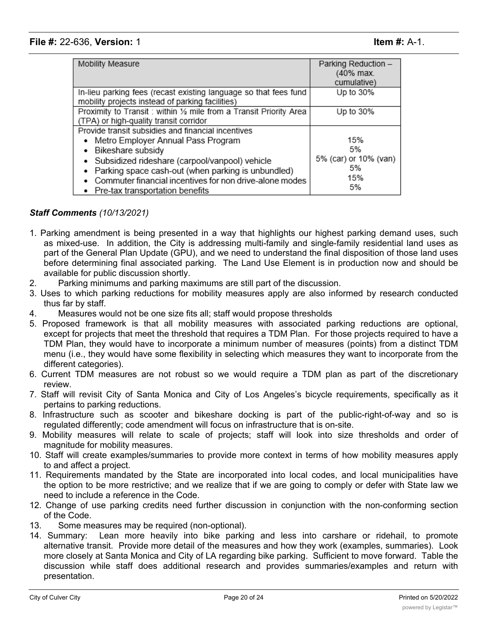| Mobility Measure                                                   | Parking Reduction -   |
|--------------------------------------------------------------------|-----------------------|
|                                                                    | (40% max.             |
|                                                                    | cumulative)           |
| In-lieu parking fees (recast existing language so that fees fund   | Up to 30%             |
| mobility projects instead of parking facilities)                   |                       |
| Proximity to Transit: within 1/2 mile from a Transit Priority Area | Up to 30%             |
| (TPA) or high-quality transit corridor                             |                       |
| Provide transit subsidies and financial incentives                 |                       |
| • Metro Employer Annual Pass Program                               | 15%                   |
| Bikeshare subsidy                                                  | 5%                    |
| • Subsidized rideshare (carpool/vanpool) vehicle                   | 5% (car) or 10% (van) |
| Parking space cash-out (when parking is unbundled)                 | 5%                    |
| Commuter financial incentives for non drive-alone modes            | 15%                   |
| • Pre-tax transportation benefits                                  | 5%                    |

## *Staff Comments (10/13/2021)*

- 1. Parking amendment is being presented in a way that highlights our highest parking demand uses, such as mixed-use. In addition, the City is addressing multi-family and single-family residential land uses as part of the General Plan Update (GPU), and we need to understand the final disposition of those land uses before determining final associated parking. The Land Use Element is in production now and should be available for public discussion shortly.
- 2. Parking minimums and parking maximums are still part of the discussion.
- 3. Uses to which parking reductions for mobility measures apply are also informed by research conducted thus far by staff.
- 4. Measures would not be one size fits all; staff would propose thresholds
- 5. Proposed framework is that all mobility measures with associated parking reductions are optional, except for projects that meet the threshold that requires a TDM Plan. For those projects required to have a TDM Plan, they would have to incorporate a minimum number of measures (points) from a distinct TDM menu (i.e., they would have some flexibility in selecting which measures they want to incorporate from the different categories).
- 6. Current TDM measures are not robust so we would require a TDM plan as part of the discretionary review.
- 7. Staff will revisit City of Santa Monica and City of Los Angeles's bicycle requirements, specifically as it pertains to parking reductions.
- 8. Infrastructure such as scooter and bikeshare docking is part of the public-right-of-way and so is regulated differently; code amendment will focus on infrastructure that is on-site.
- 9. Mobility measures will relate to scale of projects; staff will look into size thresholds and order of magnitude for mobility measures.
- 10. Staff will create examples/summaries to provide more context in terms of how mobility measures apply to and affect a project.
- 11. Requirements mandated by the State are incorporated into local codes, and local municipalities have the option to be more restrictive; and we realize that if we are going to comply or defer with State law we need to include a reference in the Code.
- 12. Change of use parking credits need further discussion in conjunction with the non-conforming section of the Code.
- 13. Some measures may be required (non-optional).
- 14. Summary: Lean more heavily into bike parking and less into carshare or ridehail, to promote alternative transit. Provide more detail of the measures and how they work (examples, summaries). Look more closely at Santa Monica and City of LA regarding bike parking. Sufficient to move forward. Table the discussion while staff does additional research and provides summaries/examples and return with presentation.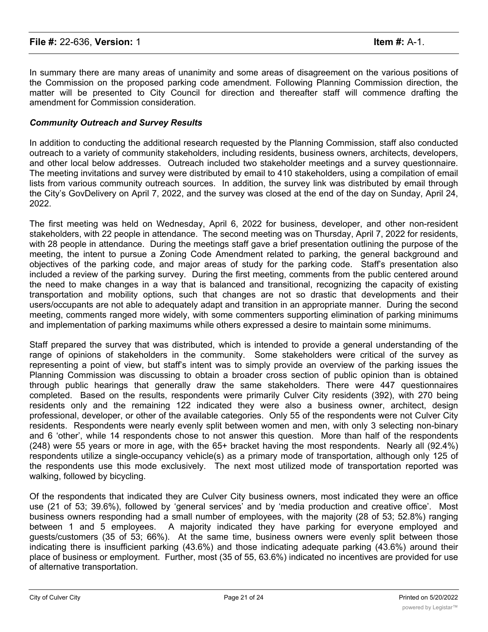In summary there are many areas of unanimity and some areas of disagreement on the various positions of the Commission on the proposed parking code amendment. Following Planning Commission direction, the matter will be presented to City Council for direction and thereafter staff will commence drafting the amendment for Commission consideration.

### *Community Outreach and Survey Results*

In addition to conducting the additional research requested by the Planning Commission, staff also conducted outreach to a variety of community stakeholders, including residents, business owners, architects, developers, and other local below addresses. Outreach included two stakeholder meetings and a survey questionnaire. The meeting invitations and survey were distributed by email to 410 stakeholders, using a compilation of email lists from various community outreach sources. In addition, the survey link was distributed by email through the City's GovDelivery on April 7, 2022, and the survey was closed at the end of the day on Sunday, April 24, 2022.

The first meeting was held on Wednesday, April 6, 2022 for business, developer, and other non-resident stakeholders, with 22 people in attendance. The second meeting was on Thursday, April 7, 2022 for residents, with 28 people in attendance. During the meetings staff gave a brief presentation outlining the purpose of the meeting, the intent to pursue a Zoning Code Amendment related to parking, the general background and objectives of the parking code, and major areas of study for the parking code. Staff's presentation also included a review of the parking survey. During the first meeting, comments from the public centered around the need to make changes in a way that is balanced and transitional, recognizing the capacity of existing transportation and mobility options, such that changes are not so drastic that developments and their users/occupants are not able to adequately adapt and transition in an appropriate manner. During the second meeting, comments ranged more widely, with some commenters supporting elimination of parking minimums and implementation of parking maximums while others expressed a desire to maintain some minimums.

Staff prepared the survey that was distributed, which is intended to provide a general understanding of the range of opinions of stakeholders in the community. Some stakeholders were critical of the survey as representing a point of view, but staff's intent was to simply provide an overview of the parking issues the Planning Commission was discussing to obtain a broader cross section of public opinion than is obtained through public hearings that generally draw the same stakeholders. There were 447 questionnaires completed. Based on the results, respondents were primarily Culver City residents (392), with 270 being residents only and the remaining 122 indicated they were also a business owner, architect, design professional, developer, or other of the available categories. Only 55 of the respondents were not Culver City residents. Respondents were nearly evenly split between women and men, with only 3 selecting non-binary and 6 'other', while 14 respondents chose to not answer this question. More than half of the respondents (248) were 55 years or more in age, with the 65+ bracket having the most respondents. Nearly all (92.4%) respondents utilize a single-occupancy vehicle(s) as a primary mode of transportation, although only 125 of the respondents use this mode exclusively. The next most utilized mode of transportation reported was walking, followed by bicycling.

Of the respondents that indicated they are Culver City business owners, most indicated they were an office use (21 of 53; 39.6%), followed by 'general services' and by 'media production and creative office'. Most business owners responding had a small number of employees, with the majority (28 of 53; 52.8%) ranging between 1 and 5 employees. A majority indicated they have parking for everyone employed and guests/customers (35 of 53; 66%). At the same time, business owners were evenly split between those indicating there is insufficient parking (43.6%) and those indicating adequate parking (43.6%) around their place of business or employment. Further, most (35 of 55, 63.6%) indicated no incentives are provided for use of alternative transportation.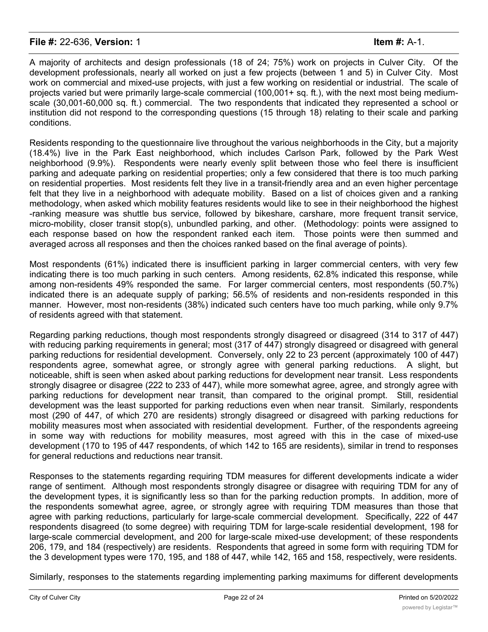A majority of architects and design professionals (18 of 24; 75%) work on projects in Culver City. Of the development professionals, nearly all worked on just a few projects (between 1 and 5) in Culver City. Most work on commercial and mixed-use projects, with just a few working on residential or industrial. The scale of projects varied but were primarily large-scale commercial (100,001+ sq. ft.), with the next most being mediumscale (30,001-60,000 sq. ft.) commercial. The two respondents that indicated they represented a school or institution did not respond to the corresponding questions (15 through 18) relating to their scale and parking conditions.

Residents responding to the questionnaire live throughout the various neighborhoods in the City, but a majority (18.4%) live in the Park East neighborhood, which includes Carlson Park, followed by the Park West neighborhood (9.9%). Respondents were nearly evenly split between those who feel there is insufficient parking and adequate parking on residential properties; only a few considered that there is too much parking on residential properties. Most residents felt they live in a transit-friendly area and an even higher percentage felt that they live in a neighborhood with adequate mobility. Based on a list of choices given and a ranking methodology, when asked which mobility features residents would like to see in their neighborhood the highest -ranking measure was shuttle bus service, followed by bikeshare, carshare, more frequent transit service, micro-mobility, closer transit stop(s), unbundled parking, and other. (Methodology: points were assigned to each response based on how the respondent ranked each item. Those points were then summed and averaged across all responses and then the choices ranked based on the final average of points).

Most respondents (61%) indicated there is insufficient parking in larger commercial centers, with very few indicating there is too much parking in such centers. Among residents, 62.8% indicated this response, while among non-residents 49% responded the same. For larger commercial centers, most respondents (50.7%) indicated there is an adequate supply of parking; 56.5% of residents and non-residents responded in this manner. However, most non-residents (38%) indicated such centers have too much parking, while only 9.7% of residents agreed with that statement.

Regarding parking reductions, though most respondents strongly disagreed or disagreed (314 to 317 of 447) with reducing parking requirements in general; most (317 of 447) strongly disagreed or disagreed with general parking reductions for residential development. Conversely, only 22 to 23 percent (approximately 100 of 447) respondents agree, somewhat agree, or strongly agree with general parking reductions. A slight, but noticeable, shift is seen when asked about parking reductions for development near transit. Less respondents strongly disagree or disagree (222 to 233 of 447), while more somewhat agree, agree, and strongly agree with parking reductions for development near transit, than compared to the original prompt. Still, residential development was the least supported for parking reductions even when near transit. Similarly, respondents most (290 of 447, of which 270 are residents) strongly disagreed or disagreed with parking reductions for mobility measures most when associated with residential development. Further, of the respondents agreeing in some way with reductions for mobility measures, most agreed with this in the case of mixed-use development (170 to 195 of 447 respondents, of which 142 to 165 are residents), similar in trend to responses for general reductions and reductions near transit.

Responses to the statements regarding requiring TDM measures for different developments indicate a wider range of sentiment. Although most respondents strongly disagree or disagree with requiring TDM for any of the development types, it is significantly less so than for the parking reduction prompts. In addition, more of the respondents somewhat agree, agree, or strongly agree with requiring TDM measures than those that agree with parking reductions, particularly for large-scale commercial development. Specifically, 222 of 447 respondents disagreed (to some degree) with requiring TDM for large-scale residential development, 198 for large-scale commercial development, and 200 for large-scale mixed-use development; of these respondents 206, 179, and 184 (respectively) are residents. Respondents that agreed in some form with requiring TDM for the 3 development types were 170, 195, and 188 of 447, while 142, 165 and 158, respectively, were residents.

Similarly, responses to the statements regarding implementing parking maximums for different developments